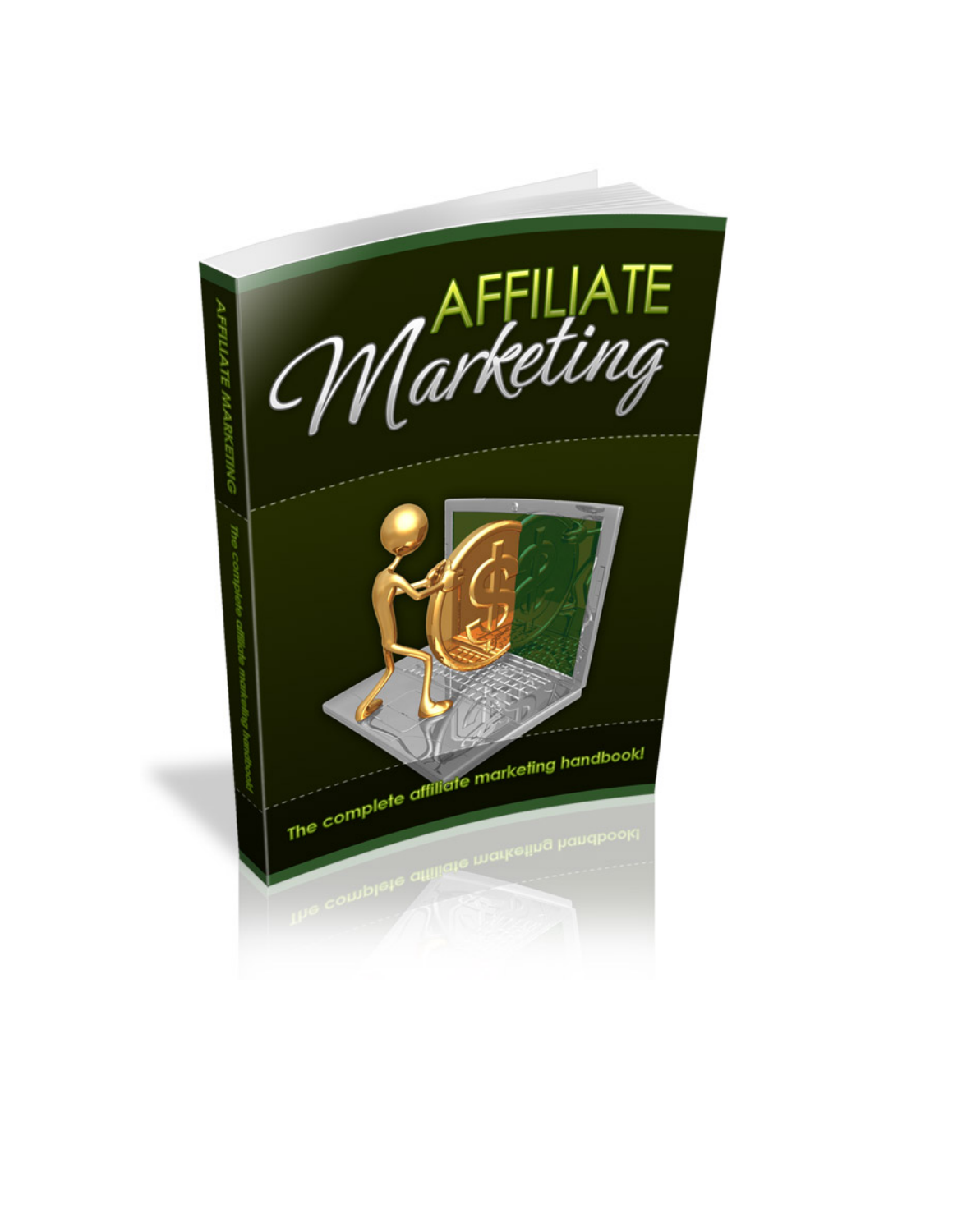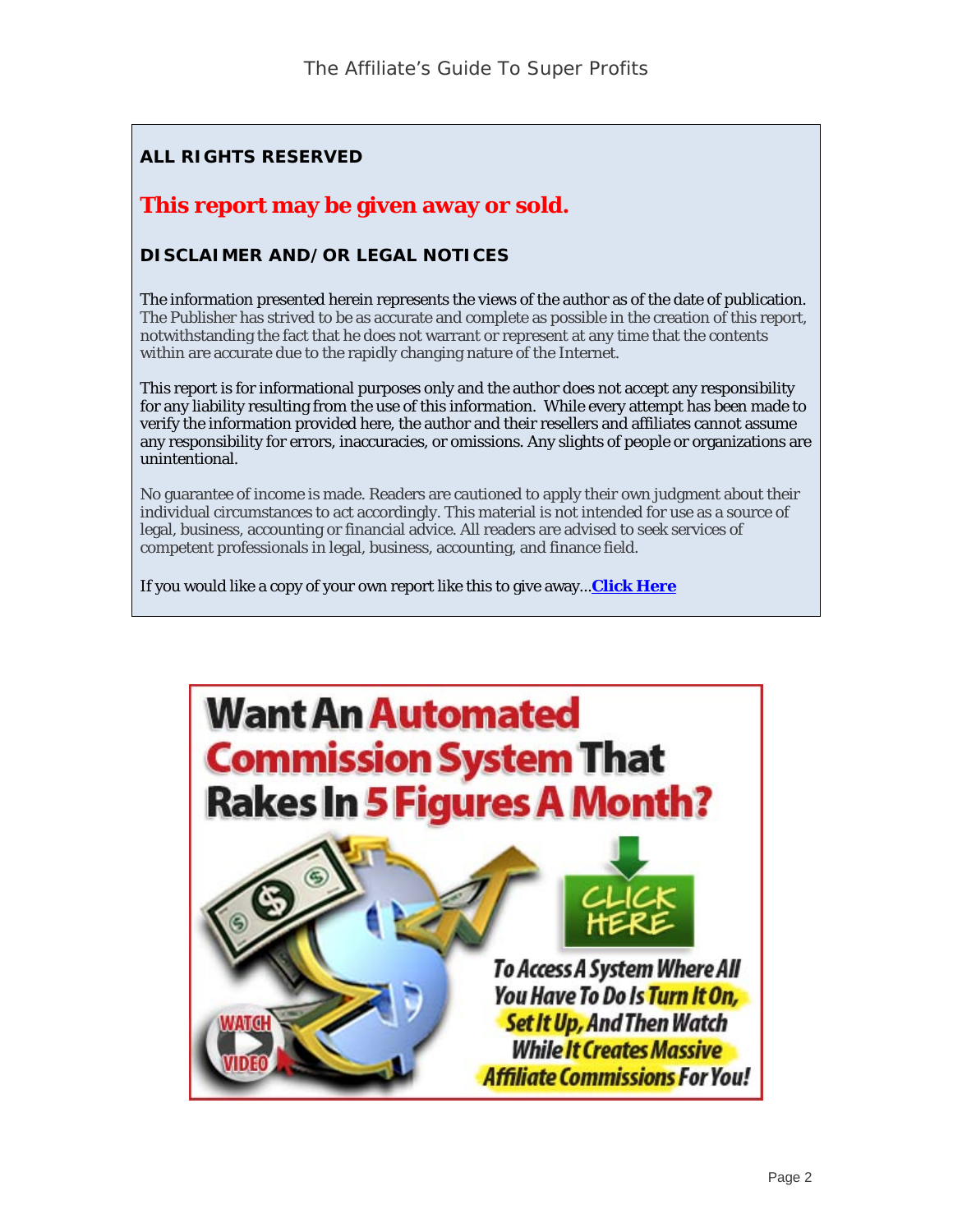#### **ALL RIGHTS RESERVED**

#### **This report may be given away or sold.**

#### **DISCLAIMER AND/OR LEGAL NOTICES**

The information presented herein represents the views of the author as of the date of publication. The Publisher has strived to be as accurate and complete as possible in the creation of this report, notwithstanding the fact that he does not warrant or represent at any time that the contents within are accurate due to the rapidly changing nature of the Internet.

This report is for informational purposes only and the author does not accept any responsibility for any liability resulting from the use of this information. While every attempt has been made to verify the information provided here, the author and their resellers and affiliates cannot assume any responsibility for errors, inaccuracies, or omissions. Any slights of people or organizations are unintentional.

No guarantee of income is made. Readers are cautioned to apply their own judgment about their individual circumstances to act accordingly. This material is not intended for use as a source of legal, business, accounting or financial advice. All readers are advised to seek services of competent professionals in legal, business, accounting, and finance field.

If you would like a copy of your own report like this to give away...**[Click Here](http://starsales11.lazyafrich.hop.clickbank.net)**

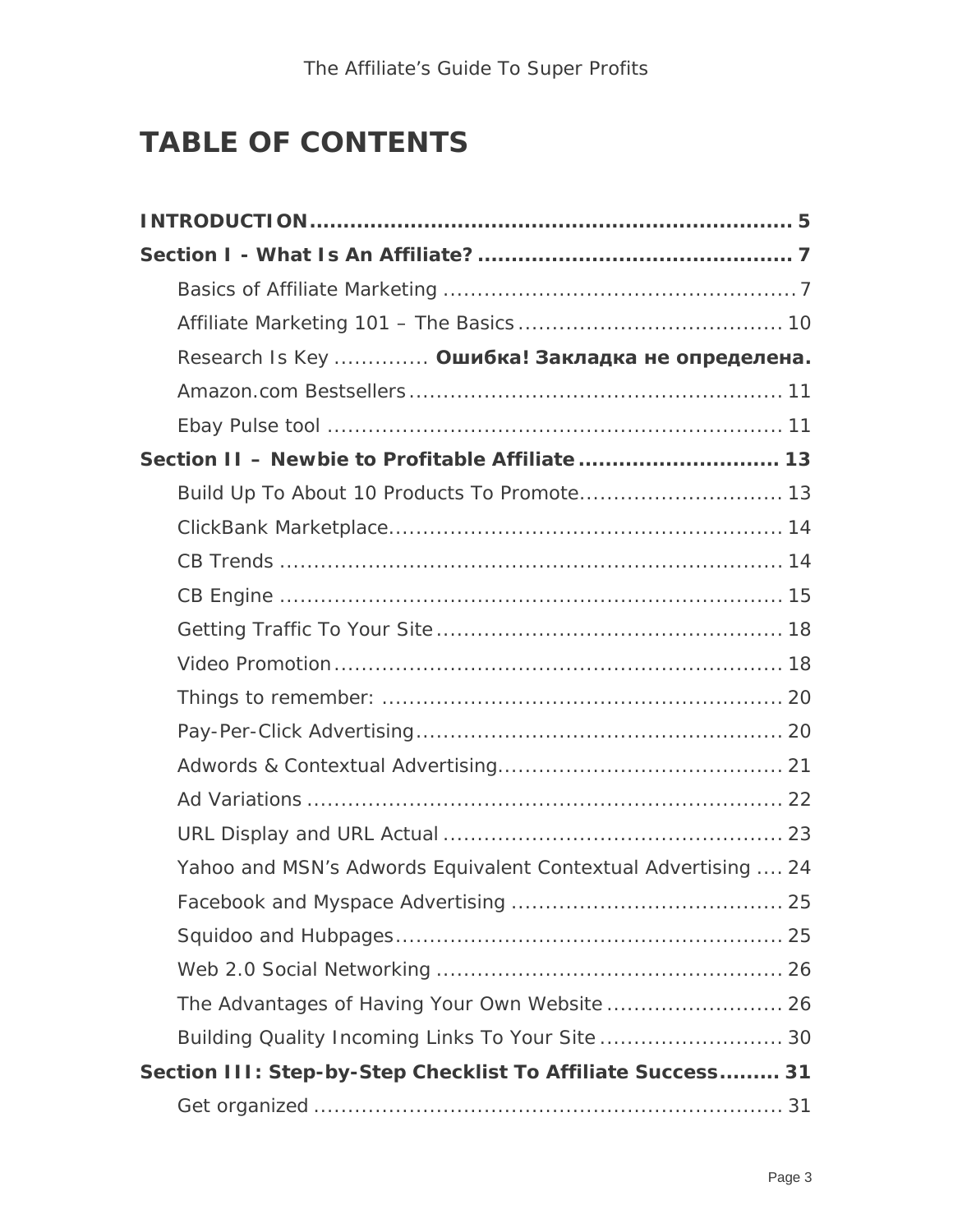### **TABLE OF CONTENTS**

| Research Is Key  Ошибка! Закладка не определена.              |  |
|---------------------------------------------------------------|--|
|                                                               |  |
|                                                               |  |
| Section II - Newbie to Profitable Affiliate  13               |  |
| Build Up To About 10 Products To Promote 13                   |  |
|                                                               |  |
|                                                               |  |
|                                                               |  |
|                                                               |  |
|                                                               |  |
|                                                               |  |
|                                                               |  |
|                                                               |  |
|                                                               |  |
|                                                               |  |
| Yahoo and MSN's Adwords Equivalent Contextual Advertising  24 |  |
|                                                               |  |
|                                                               |  |
|                                                               |  |
|                                                               |  |
| Building Quality Incoming Links To Your Site  30              |  |
| Section III: Step-by-Step Checklist To Affiliate Success 31   |  |
|                                                               |  |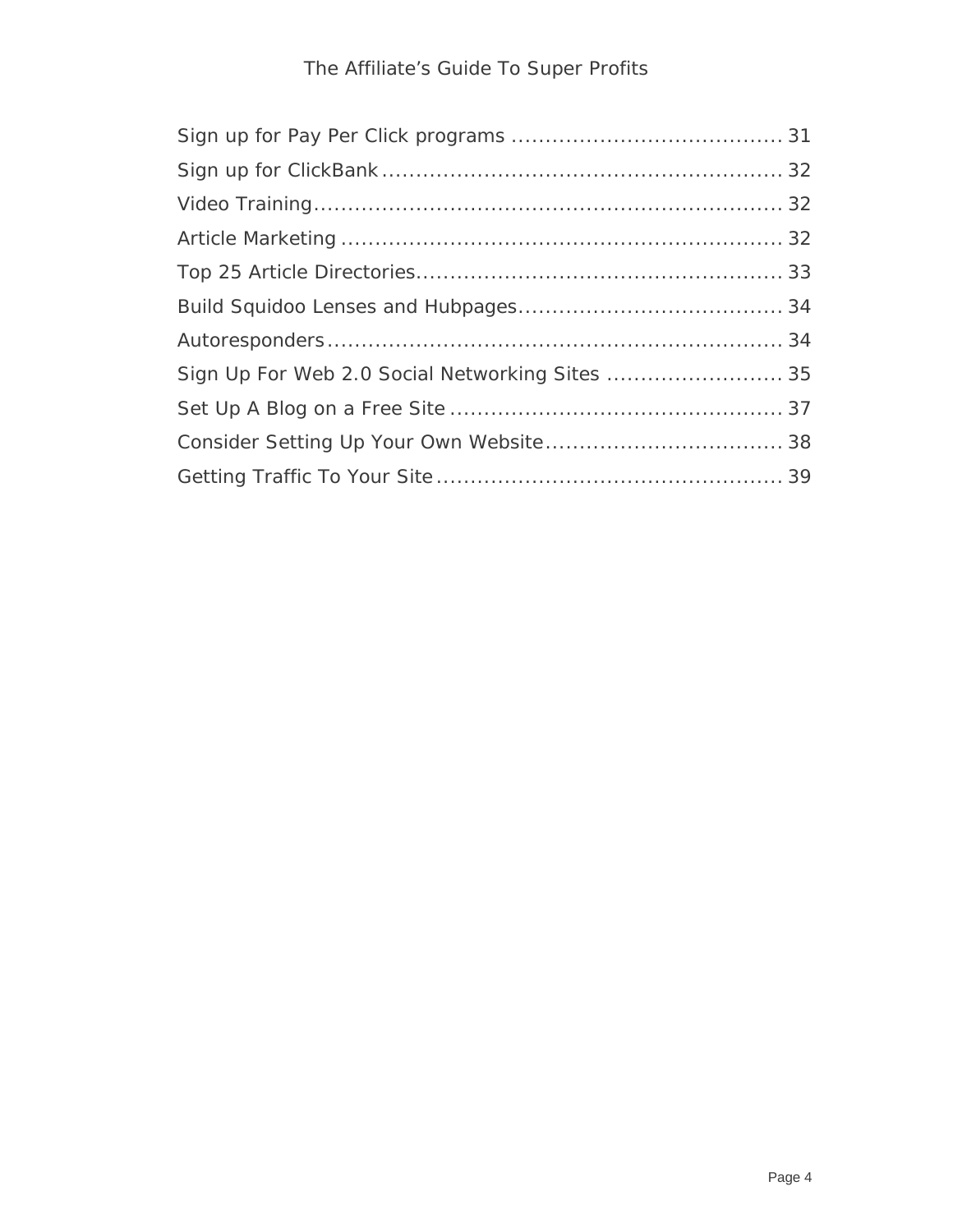#### The Affiliate's Guide To Super Profits

| Sign Up For Web 2.0 Social Networking Sites  35 |  |
|-------------------------------------------------|--|
|                                                 |  |
|                                                 |  |
|                                                 |  |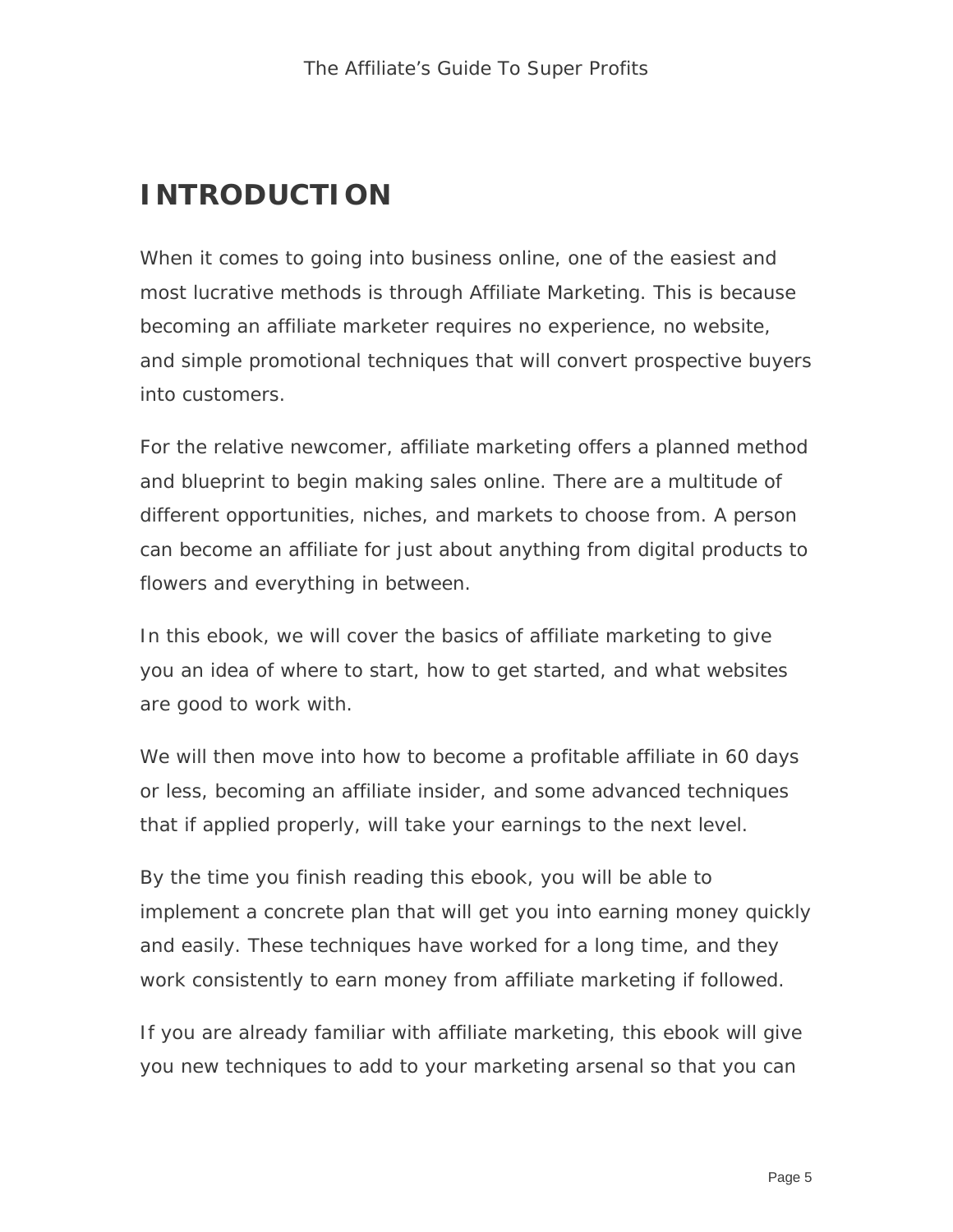### **INTRODUCTION**

When it comes to going into business online, one of the easiest and most lucrative methods is through Affiliate Marketing. This is because becoming an affiliate marketer requires no experience, no website, and simple promotional techniques that will convert prospective buyers into customers.

For the relative newcomer, affiliate marketing offers a planned method and blueprint to begin making sales online. There are a multitude of different opportunities, niches, and markets to choose from. A person can become an affiliate for just about anything from digital products to flowers and everything in between.

In this ebook, we will cover the basics of affiliate marketing to give you an idea of where to start, how to get started, and what websites are good to work with.

We will then move into how to become a profitable affiliate in 60 days or less, becoming an affiliate insider, and some advanced techniques that if applied properly, will take your earnings to the next level.

By the time you finish reading this ebook, you will be able to implement a concrete plan that will get you into earning money quickly and easily. These techniques have worked for a long time, and they work consistently to earn money from affiliate marketing if followed.

If you are already familiar with affiliate marketing, this ebook will give you new techniques to add to your marketing arsenal so that you can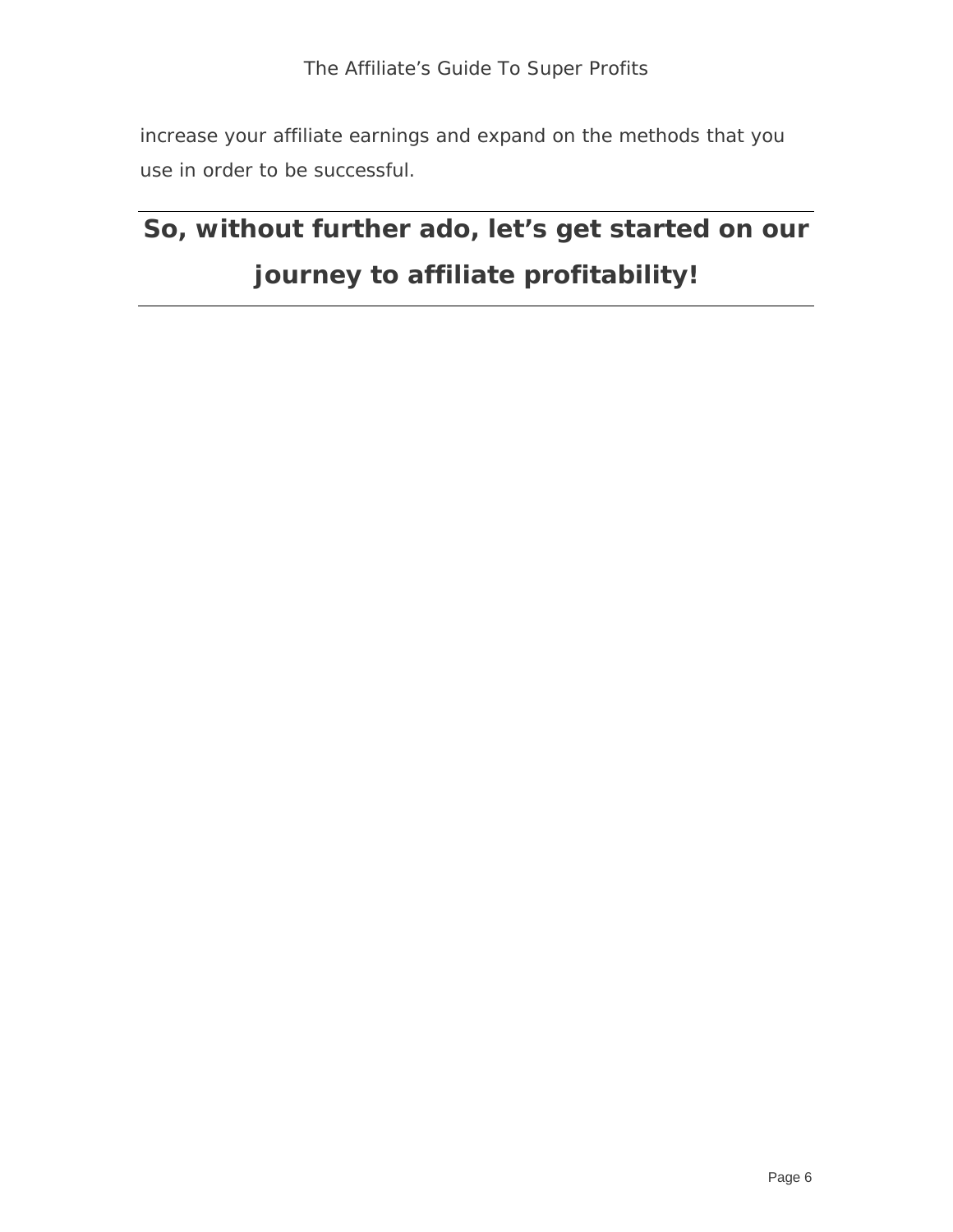increase your affiliate earnings and expand on the methods that you use in order to be successful.

## **So, without further ado, let's get started on our journey to affiliate profitability!**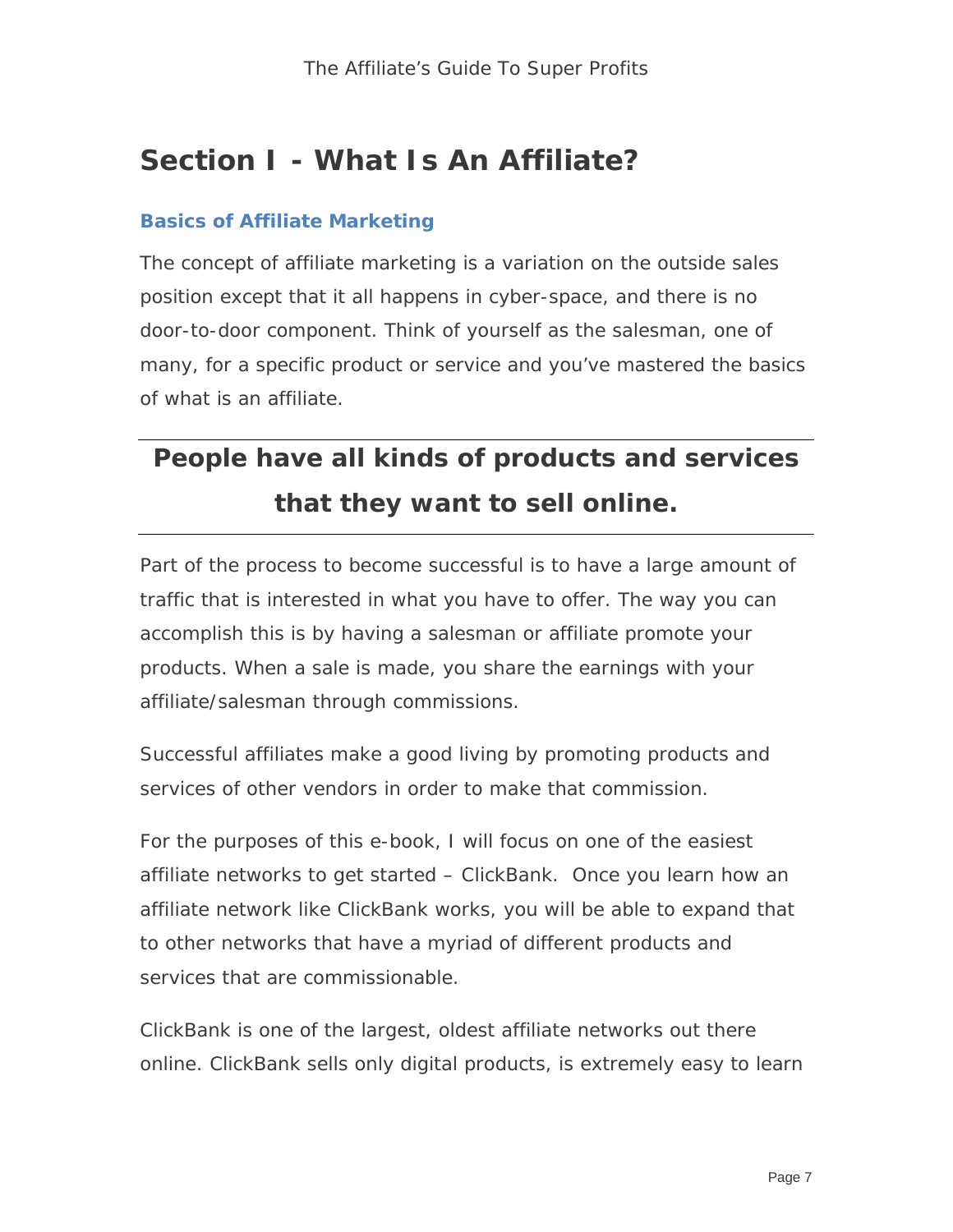### **Section I - What Is An Affiliate?**

#### **Basics of Affiliate Marketing**

The concept of affiliate marketing is a variation on the outside sales position except that it all happens in cyber-space, and there is no door-to-door component. Think of yourself as the salesman, one of many, for a specific product or service and you've mastered the basics of what is an affiliate.

## **People have all kinds of products and services that they want to sell online.**

Part of the process to become successful is to have a large amount of traffic that is interested in what you have to offer. The way you can accomplish this is by having a salesman or affiliate promote your products. When a sale is made, you share the earnings with your affiliate/salesman through commissions.

Successful affiliates make a good living by promoting products and services of other vendors in order to make that commission.

For the purposes of this e-book, I will focus on one of the easiest affiliate networks to get started – ClickBank. Once you learn how an affiliate network like ClickBank works, you will be able to expand that to other networks that have a myriad of different products and services that are commissionable.

ClickBank is one of the largest, oldest affiliate networks out there online. ClickBank sells only digital products, is extremely easy to learn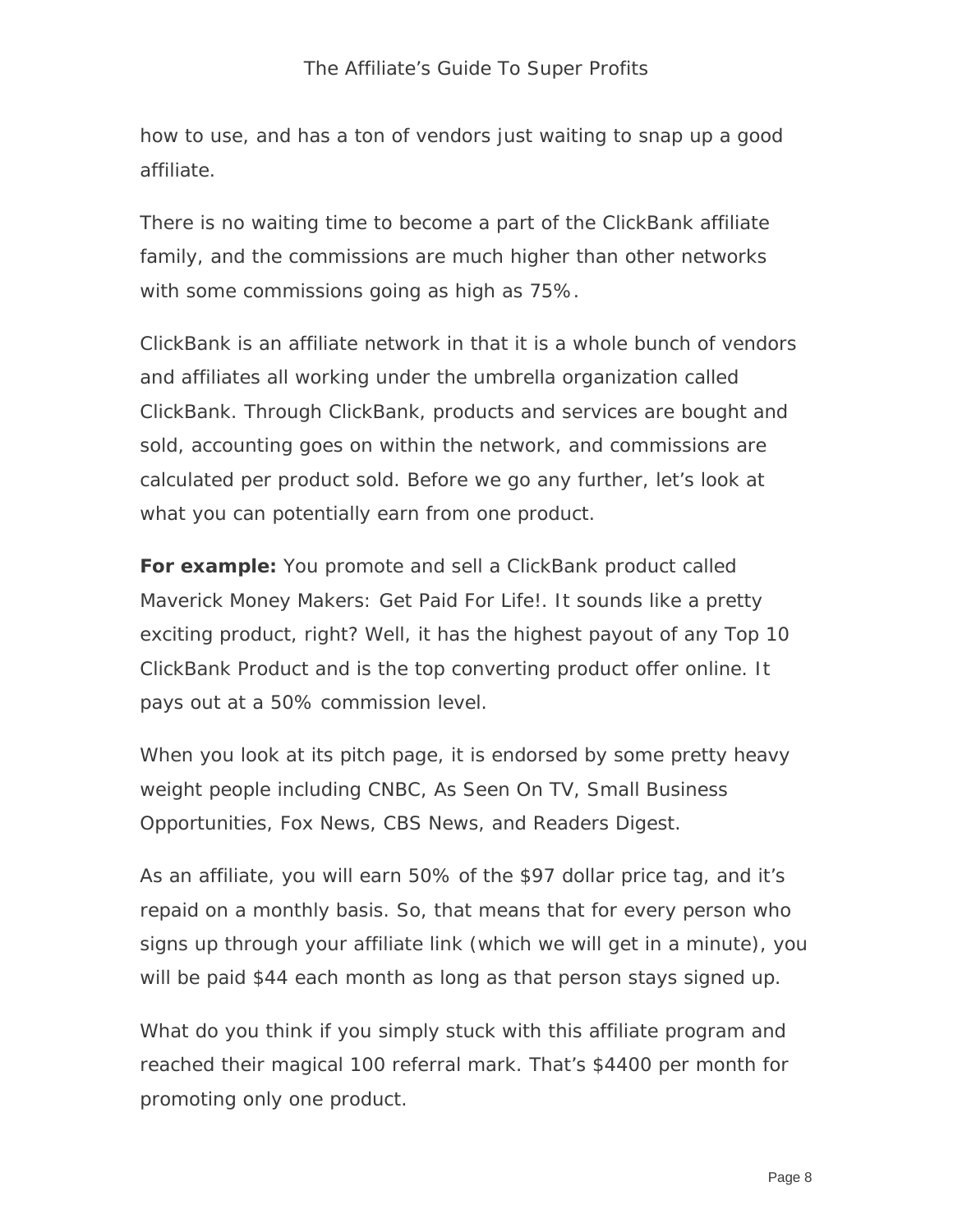how to use, and has a ton of vendors just waiting to snap up a good affiliate.

There is no waiting time to become a part of the ClickBank affiliate family, and the commissions are much higher than other networks with some commissions going as high as 75%.

ClickBank is an affiliate network in that it is a whole bunch of vendors and affiliates all working under the umbrella organization called ClickBank. Through ClickBank, products and services are bought and sold, accounting goes on within the network, and commissions are calculated per product sold. Before we go any further, let's look at what you can potentially earn from one product.

**For example:** You promote and sell a ClickBank product called Maverick Money Makers: Get Paid For Life!. It sounds like a pretty exciting product, right? Well, it has the highest payout of any Top 10 ClickBank Product and is the top converting product offer online. It pays out at a 50% commission level.

When you look at its pitch page, it is endorsed by some pretty heavy weight people including CNBC, As Seen On TV, Small Business Opportunities, Fox News, CBS News, and Readers Digest.

As an affiliate, you will earn 50% of the \$97 dollar price tag, and it's repaid on a monthly basis. So, that means that for every person who signs up through your affiliate link (which we will get in a minute), you will be paid \$44 each month as long as that person stays signed up.

What do you think if you simply stuck with this affiliate program and reached their magical 100 referral mark. That's \$4400 per month for promoting only one product.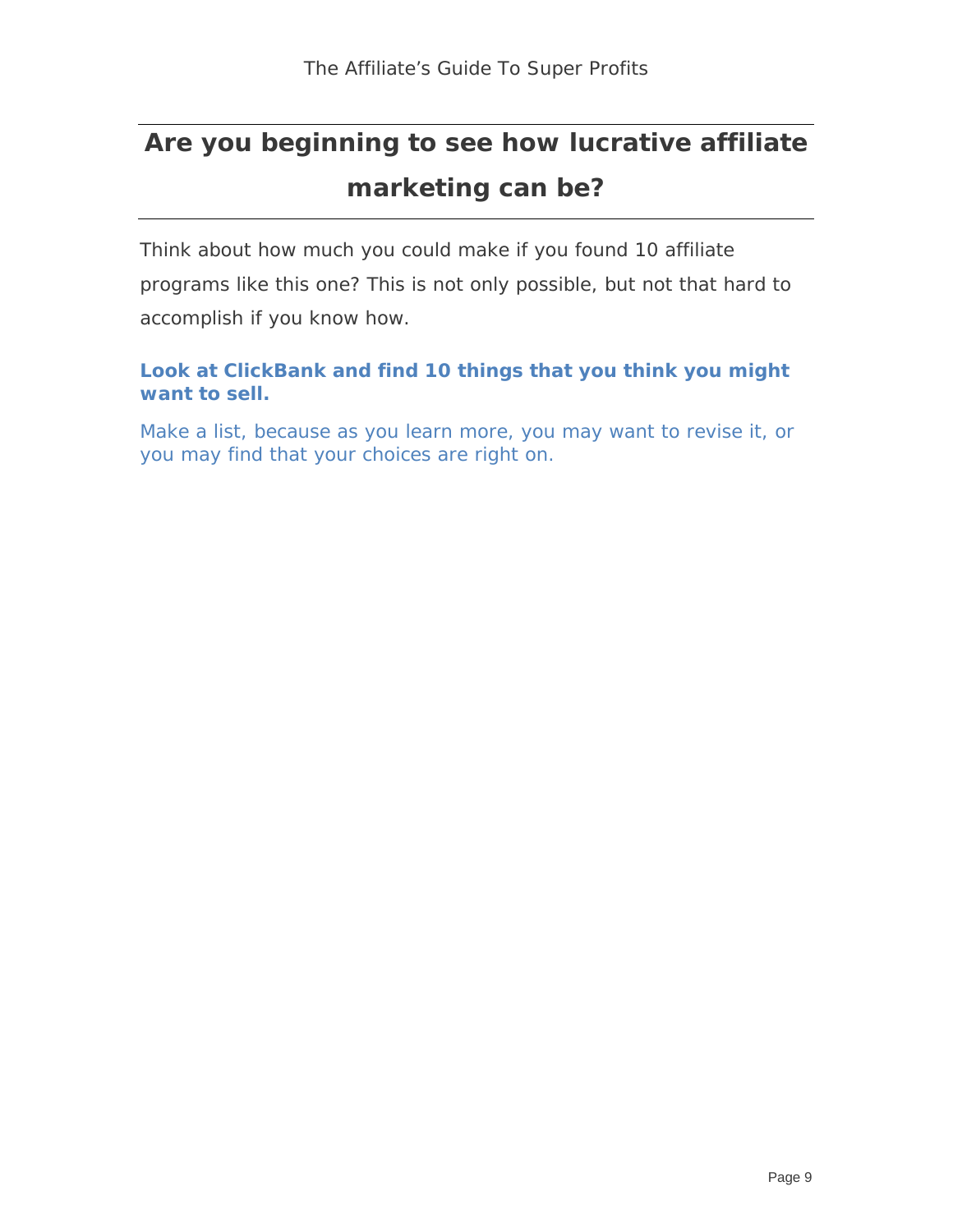### **Are you beginning to see how lucrative affiliate marketing can be?**

Think about how much you could make if you found 10 affiliate programs like this one? This is not only possible, but not that hard to accomplish if you know how.

#### **Look at ClickBank and find 10 things that you think you might want to sell.**

Make a list, because as you learn more, you may want to revise it, or you may find that your choices are right on.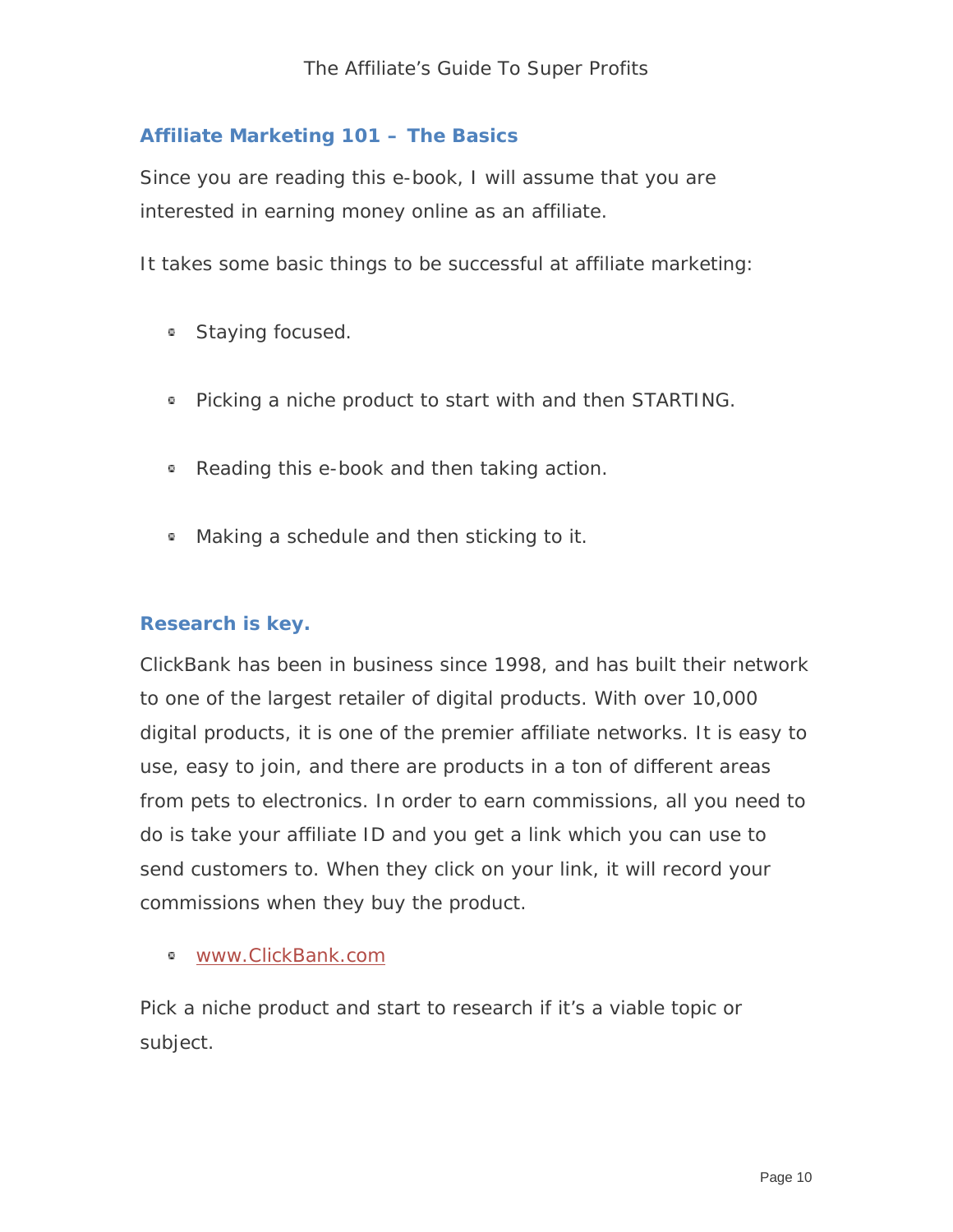#### **Affiliate Marketing 101 – The Basics**

Since you are reading this e-book, I will assume that you are interested in earning money online as an affiliate.

It takes some basic things to be successful at affiliate marketing:

- **Staying focused.**
- **Picking a niche product to start with and then STARTING.**
- Reading this e-book and then taking action.
- Making a schedule and then sticking to it.

#### **Research is key.**

ClickBank has been in business since 1998, and has built their network to one of the largest retailer of digital products. With over 10,000 digital products, it is one of the premier affiliate networks. It is easy to use, easy to join, and there are products in a ton of different areas from pets to electronics. In order to earn commissions, all you need to do is take your affiliate ID and you get a link which you can use to send customers to. When they click on your link, it will record your commissions when they buy the product.

www.ClickBank.com

Pick a niche product and start to research if it's a viable topic or subject.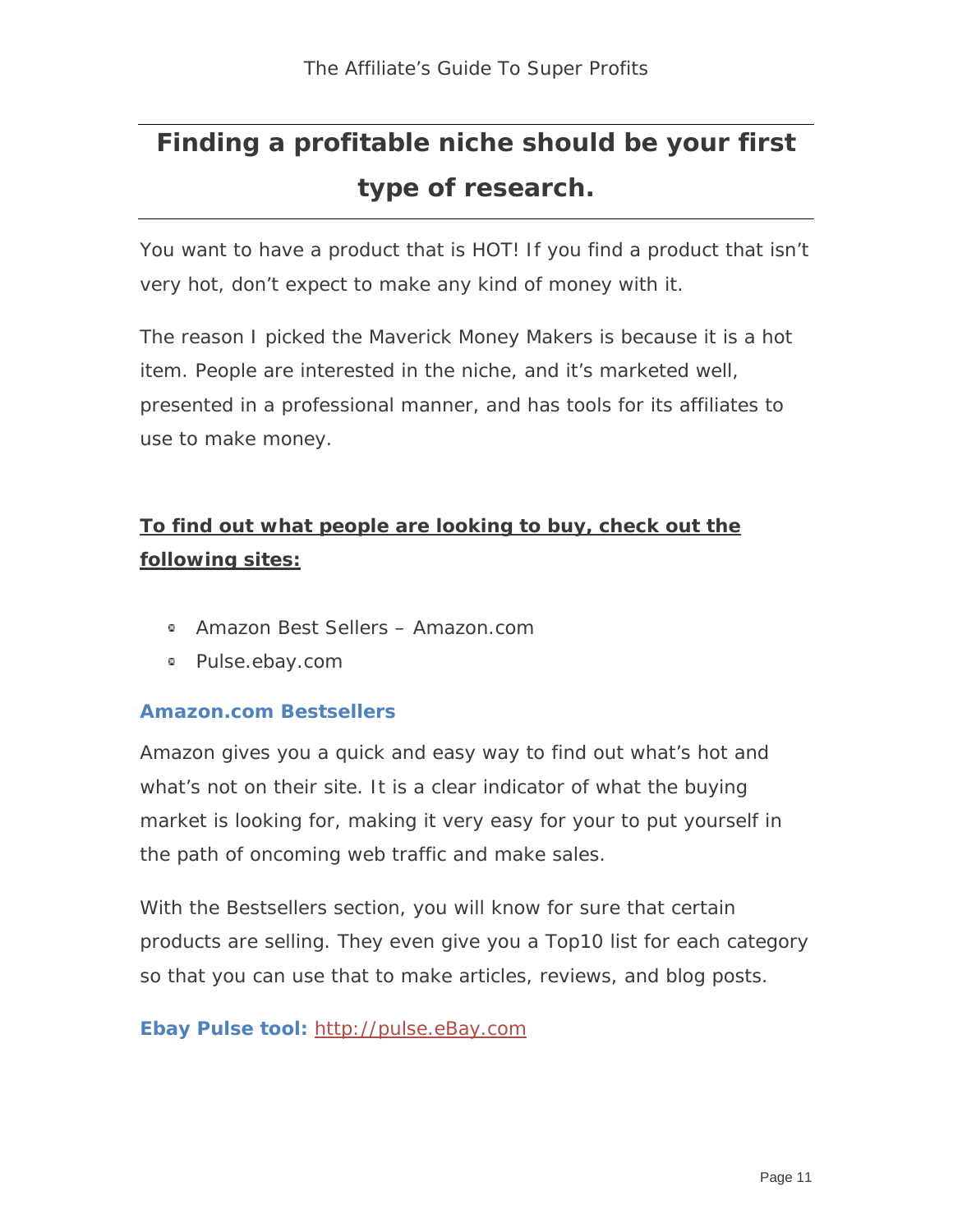## **Finding a profitable niche should be your first type of research.**

You want to have a product that is HOT! If you find a product that isn't very hot, don't expect to make any kind of money with it.

The reason I picked the Maverick Money Makers is because it is a hot item. People are interested in the niche, and it's marketed well, presented in a professional manner, and has tools for its affiliates to use to make money.

### **To find out what people are looking to buy, check out the following sites:**

- Amazon Best Sellers Amazon.com
- Pulse.ebay.com

#### **Amazon.com Bestsellers**

Amazon gives you a quick and easy way to find out what's hot and what's not on their site. It is a clear indicator of what the buying market is looking for, making it very easy for your to put yourself in the path of oncoming web traffic and make sales.

With the Bestsellers section, you will know for sure that certain products are selling. They even give you a Top10 list for each category so that you can use that to make articles, reviews, and blog posts.

#### **Ebay Pulse tool:** [http://pulse.eBay.com](http://pulse.ebay.com/)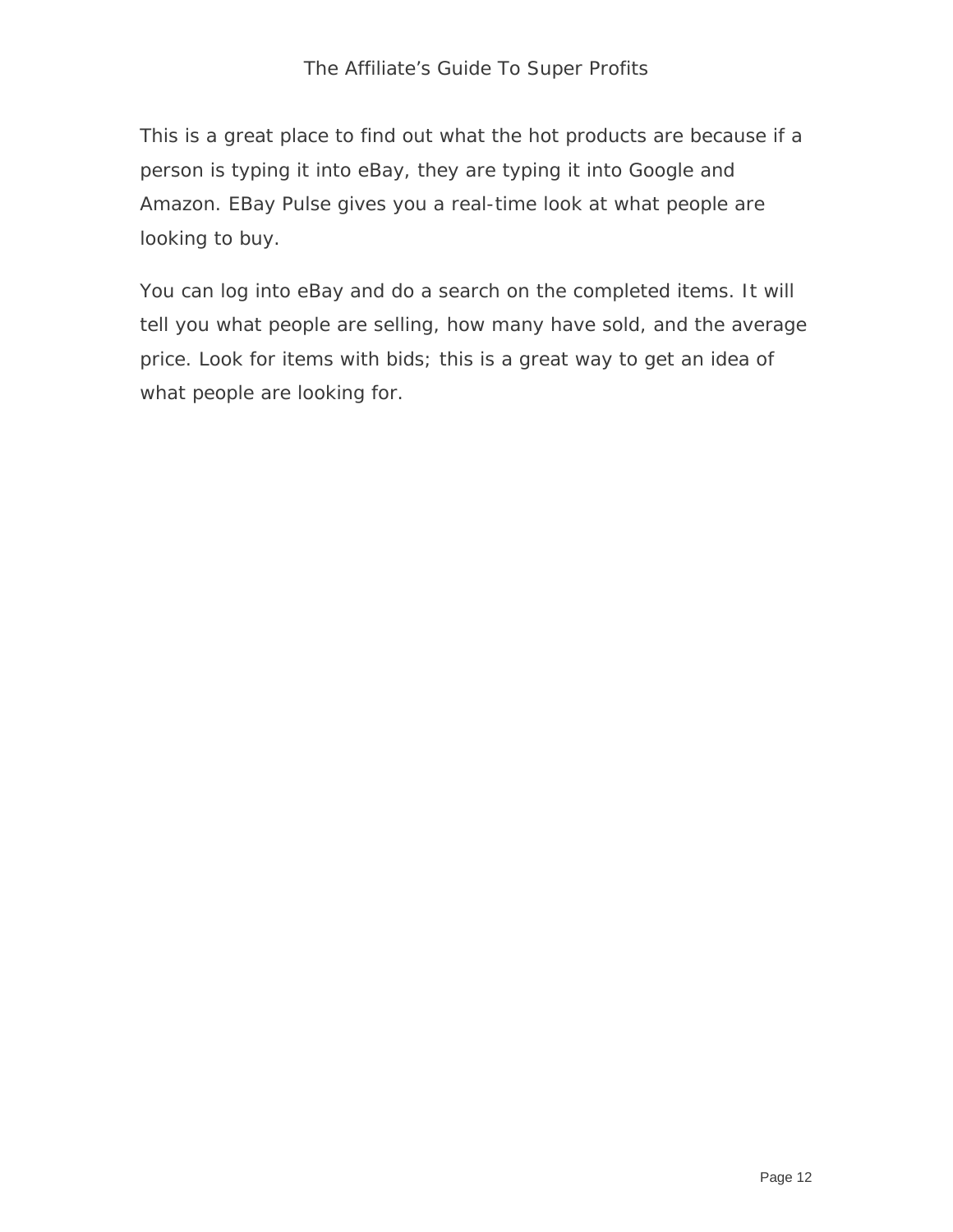This is a great place to find out what the hot products are because if a person is typing it into eBay, they are typing it into Google and Amazon. EBay Pulse gives you a real-time look at what people are looking to buy.

You can log into eBay and do a search on the completed items. It will tell you what people are selling, how many have sold, and the average price. Look for items with bids; this is a great way to get an idea of what people are looking for.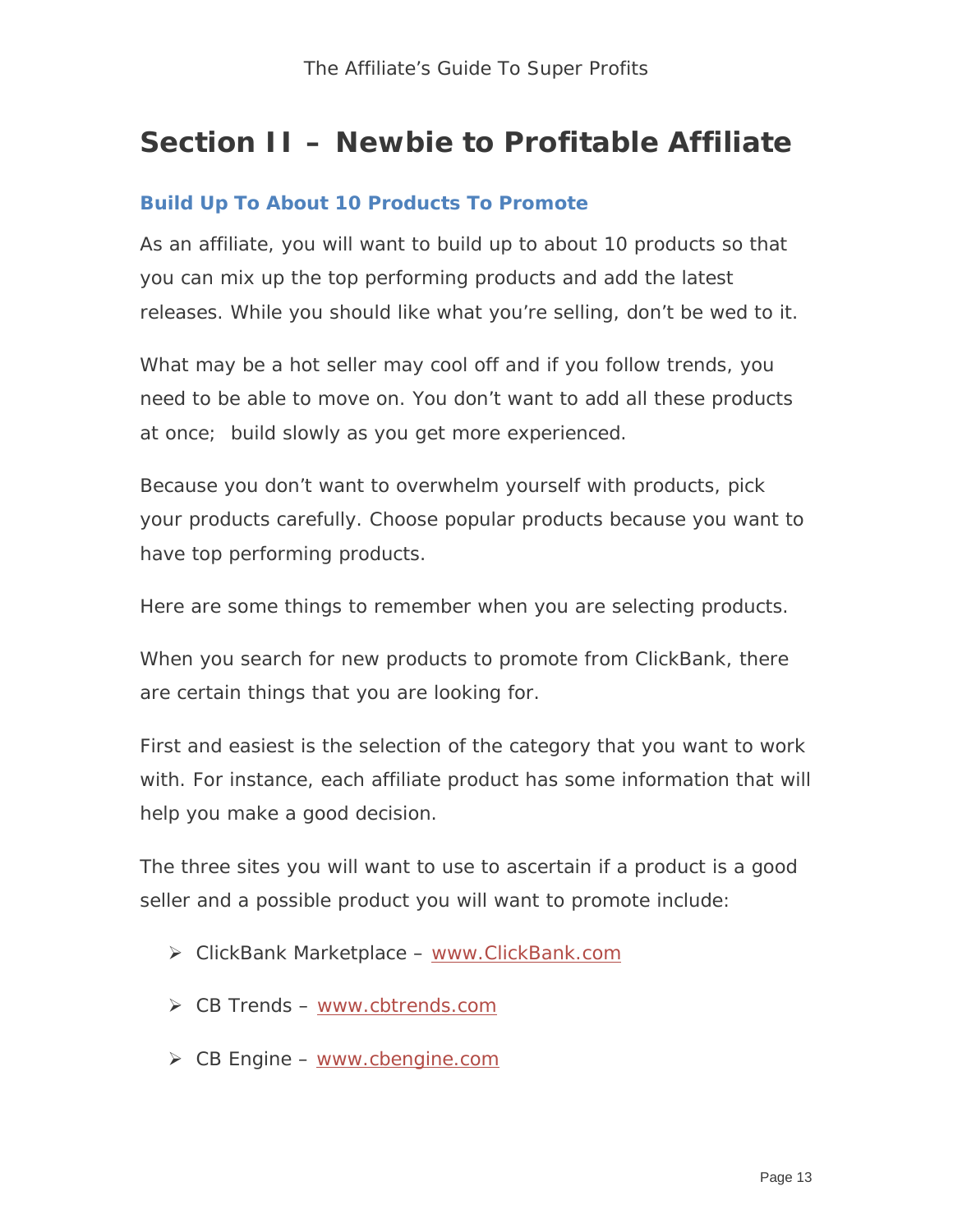### **Section II – Newbie to Profitable Affiliate**

#### **Build Up To About 10 Products To Promote**

As an affiliate, you will want to build up to about 10 products so that you can mix up the top performing products and add the latest releases. While you should like what you're selling, don't be wed to it.

What may be a hot seller may cool off and if you follow trends, you need to be able to move on. You don't want to add all these products at once; build slowly as you get more experienced.

Because you don't want to overwhelm yourself with products, pick your products carefully. Choose popular products because you want to have top performing products.

Here are some things to remember when you are selecting products.

When you search for new products to promote from ClickBank, there are certain things that you are looking for.

First and easiest is the selection of the category that you want to work with. For instance, each affiliate product has some information that will help you make a good decision.

The three sites you will want to use to ascertain if a product is a good seller and a possible product you will want to promote include:

- ClickBank Marketplace – [www.ClickBank.com](http://www.clickbank.com/)
- $\triangleright$  CB Trends [www.cbtrends.com](http://www.cbtrends.com/)
- $\triangleright$  CB Engine [www.cbengine.com](http://www.cbengine.com/)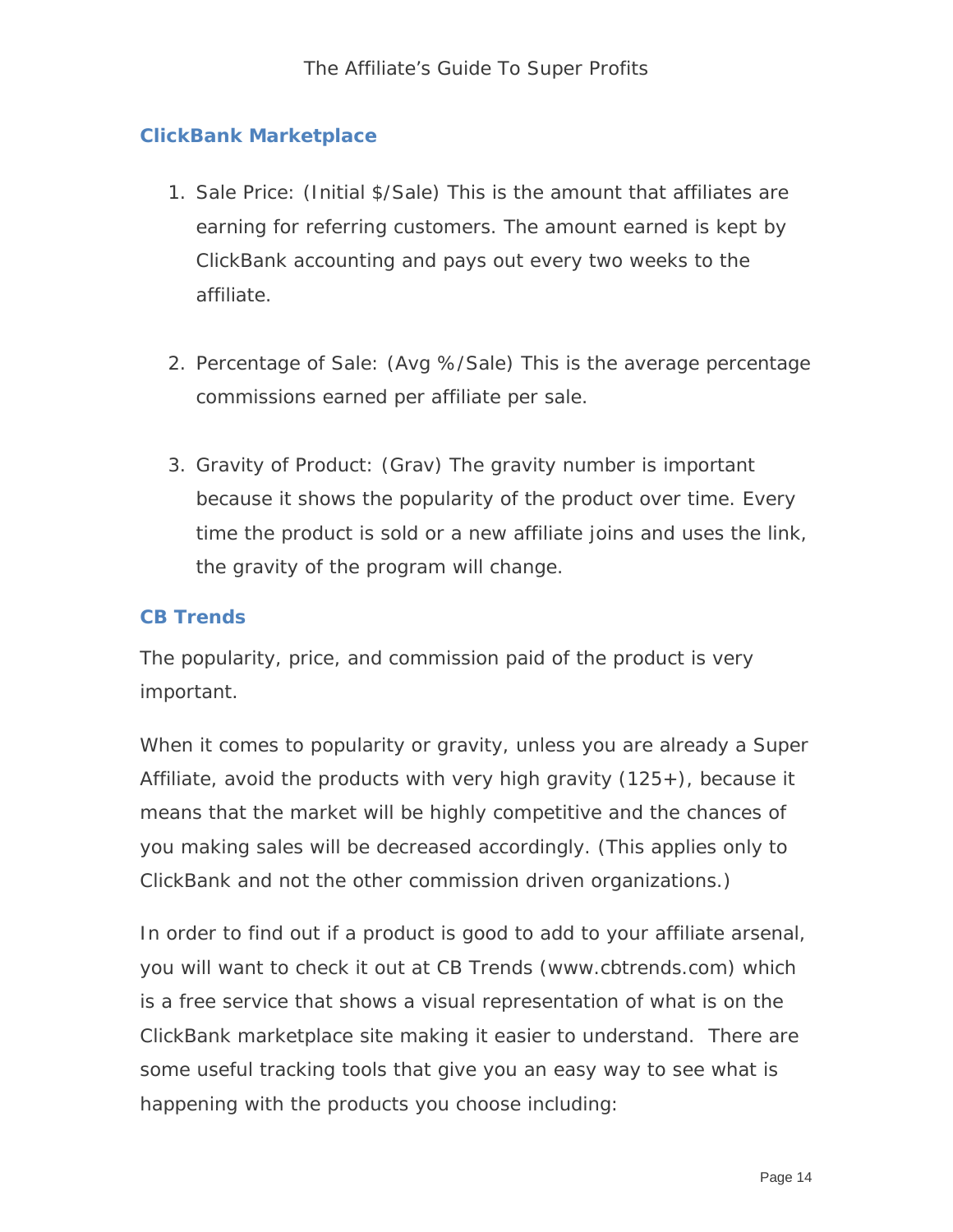#### **ClickBank Marketplace**

- 1. Sale Price: (Initial \$/Sale) This is the amount that affiliates are earning for referring customers. The amount earned is kept by ClickBank accounting and pays out every two weeks to the affiliate.
- 2. Percentage of Sale: (Avg %/Sale) This is the average percentage commissions earned per affiliate per sale.
- 3. Gravity of Product: (Grav) The gravity number is important because it shows the popularity of the product over time. Every time the product is sold or a new affiliate joins and uses the link, the gravity of the program will change.

#### **CB Trends**

The popularity, price, and commission paid of the product is very important.

When it comes to popularity or gravity, unless you are already a Super Affiliate, avoid the products with very high gravity  $(125+)$ , because it means that the market will be highly competitive and the chances of you making sales will be decreased accordingly. (This applies only to ClickBank and not the other commission driven organizations.)

In order to find out if a product is good to add to your affiliate arsenal, you will want to check it out at CB Trends (www.cbtrends.com) which is a free service that shows a visual representation of what is on the ClickBank marketplace site making it easier to understand. There are some useful tracking tools that give you an easy way to see what is happening with the products you choose including: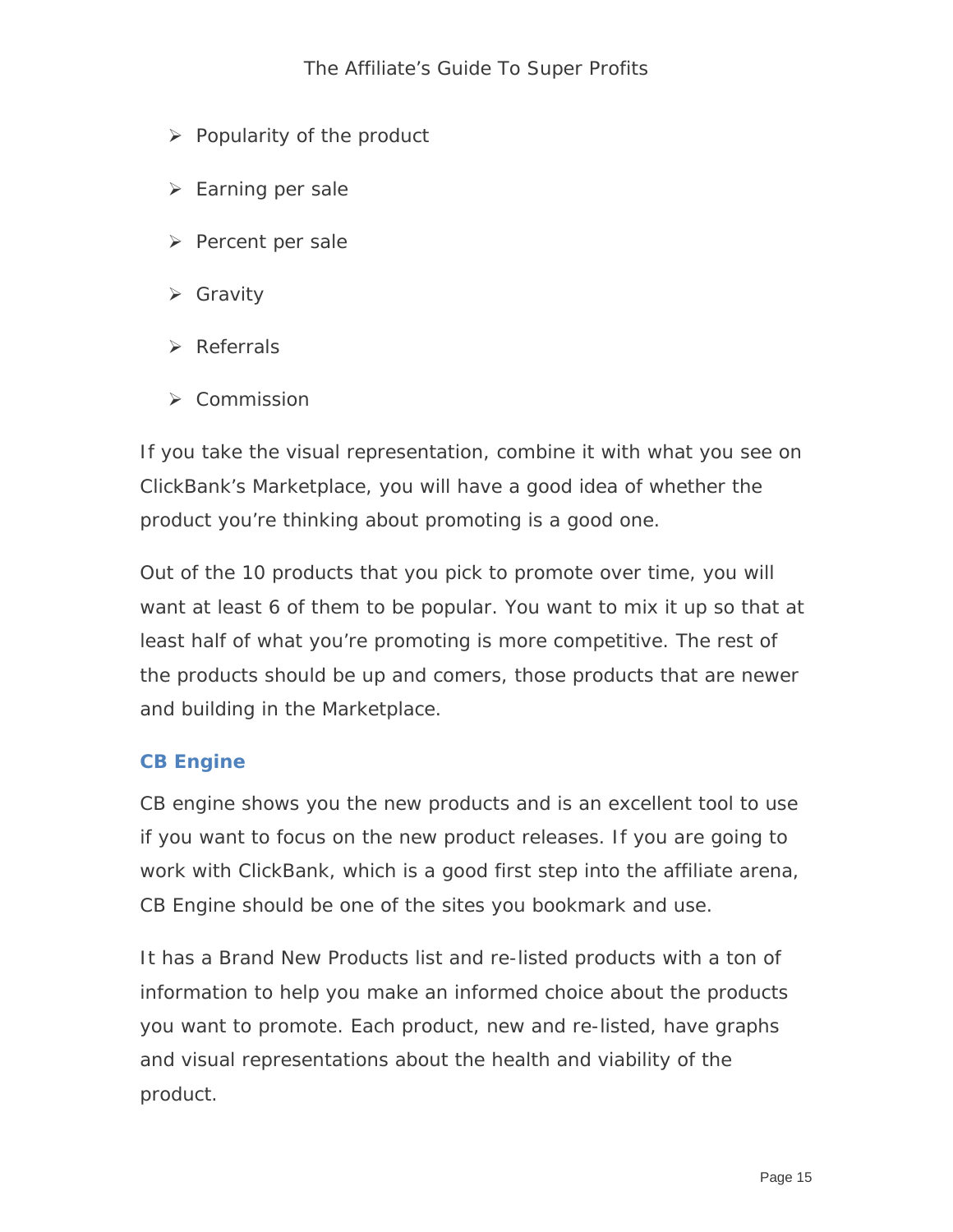- $\triangleright$  Popularity of the product
- $\triangleright$  Earning per sale
- $\triangleright$  Percent per sale
- Gravity
- $\triangleright$  Referrals
- $\triangleright$  Commission

If you take the visual representation, combine it with what you see on ClickBank's Marketplace, you will have a good idea of whether the product you're thinking about promoting is a good one.

Out of the 10 products that you pick to promote over time, you will want at least 6 of them to be popular. You want to mix it up so that at least half of what you're promoting is more competitive. The rest of the products should be up and comers, those products that are newer and building in the Marketplace.

#### **CB Engine**

CB engine shows you the new products and is an excellent tool to use if you want to focus on the new product releases. If you are going to work with ClickBank, which is a good first step into the affiliate arena, CB Engine should be one of the sites you bookmark and use.

It has a Brand New Products list and re-listed products with a ton of information to help you make an informed choice about the products you want to promote. Each product, new and re-listed, have graphs and visual representations about the health and viability of the product.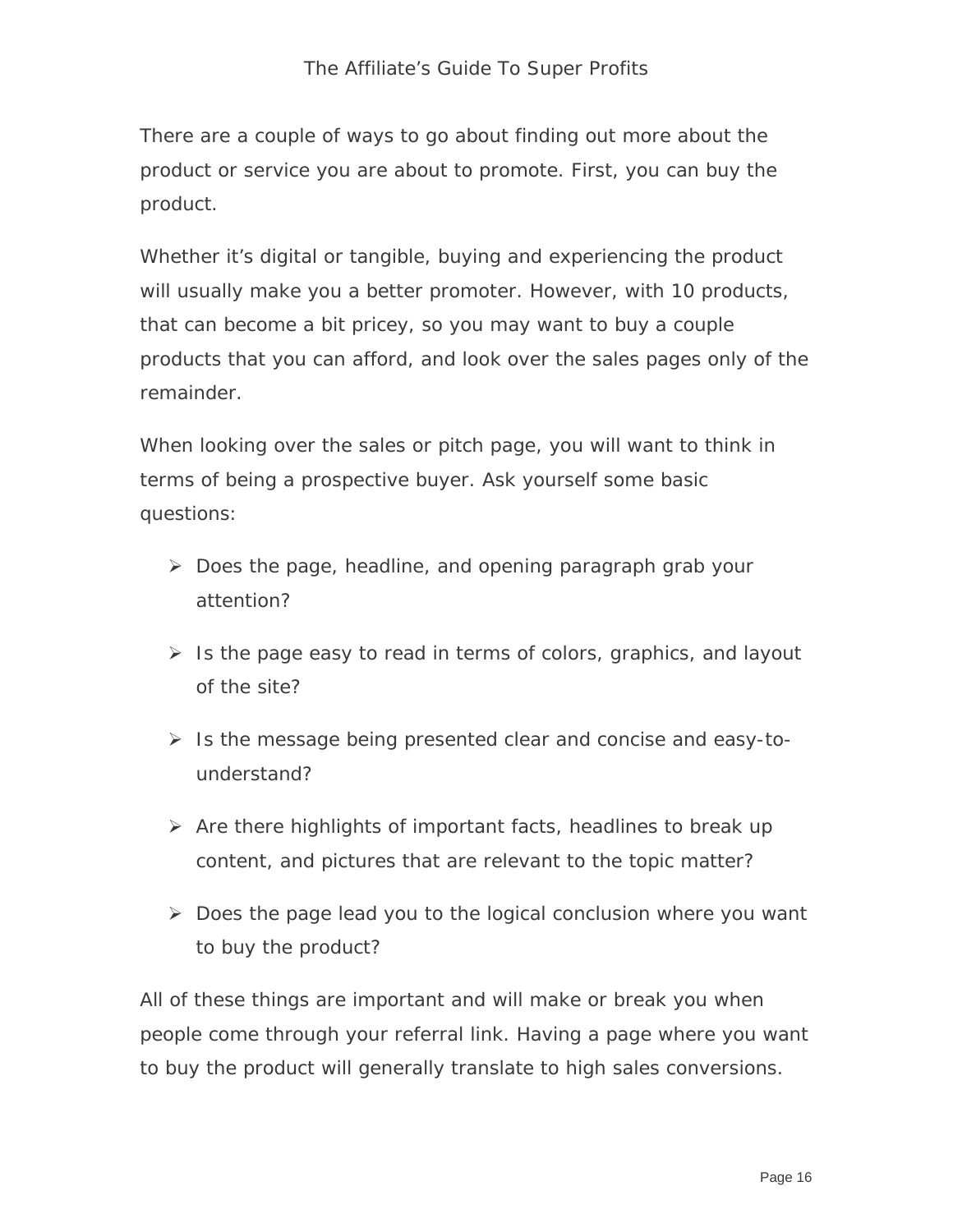There are a couple of ways to go about finding out more about the product or service you are about to promote. First, you can buy the product.

Whether it's digital or tangible, buying and experiencing the product will usually make you a better promoter. However, with 10 products, that can become a bit pricey, so you may want to buy a couple products that you can afford, and look over the sales pages only of the remainder.

When looking over the sales or pitch page, you will want to think in terms of being a prospective buyer. Ask yourself some basic questions:

- $\triangleright$  Does the page, headline, and opening paragraph grab your attention?
- $\triangleright$  Is the page easy to read in terms of colors, graphics, and layout of the site?
- $\triangleright$  Is the message being presented clear and concise and easy-tounderstand?
- $\triangleright$  Are there highlights of important facts, headlines to break up content, and pictures that are relevant to the topic matter?
- $\triangleright$  Does the page lead you to the logical conclusion where you want to buy the product?

All of these things are important and will make or break you when people come through your referral link. Having a page where you want to buy the product will generally translate to high sales conversions.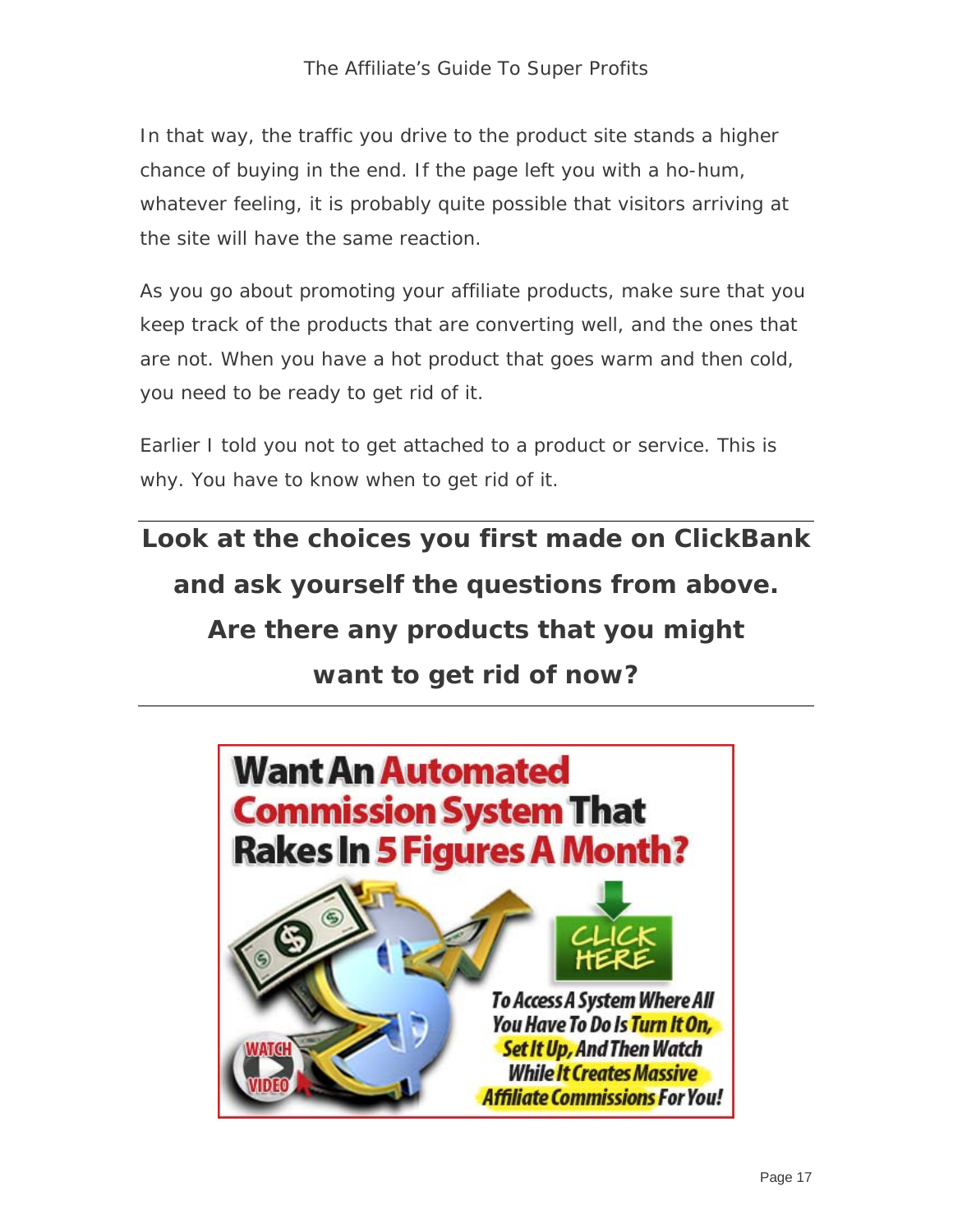In that way, the traffic you drive to the product site stands a higher chance of buying in the end. If the page left you with a ho-hum, whatever feeling, it is probably quite possible that visitors arriving at the site will have the same reaction.

As you go about promoting your affiliate products, make sure that you keep track of the products that are converting well, and the ones that are not. When you have a hot product that goes warm and then cold, you need to be ready to get rid of it.

Earlier I told you not to get attached to a product or service. This is why. You have to know when to get rid of it.

**Look at the choices you first made on ClickBank and ask yourself the questions from above. Are there any products that you might want to get rid of now?** 

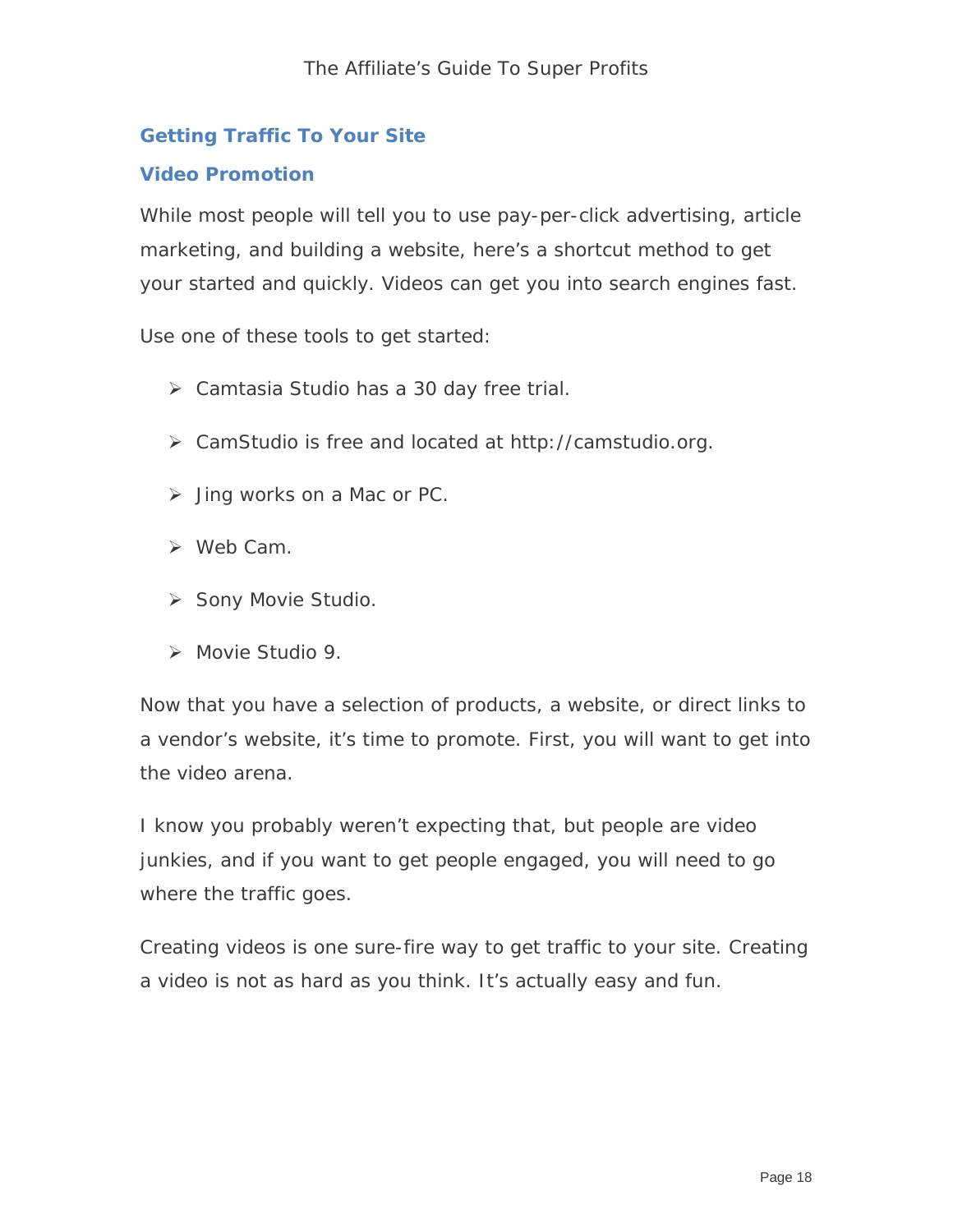#### **Getting Traffic To Your Site**

#### **Video Promotion**

While most people will tell you to use pay-per-click advertising, article marketing, and building a website, here's a shortcut method to get your started and quickly. Videos can get you into search engines fast.

Use one of these tools to get started:

- Camtasia Studio has a 30 day free trial.
- CamStudio is free and located at http://camstudio.org.
- $\triangleright$  Jing works on a Mac or PC.
- $\triangleright$  Web Cam.
- Sony Movie Studio.
- > Movie Studio 9.

Now that you have a selection of products, a website, or direct links to a vendor's website, it's time to promote. First, you will want to get into the video arena.

I know you probably weren't expecting that, but people are video junkies, and if you want to get people engaged, you will need to go where the traffic goes.

Creating videos is one sure-fire way to get traffic to your site. Creating a video is not as hard as you think. It's actually easy and fun.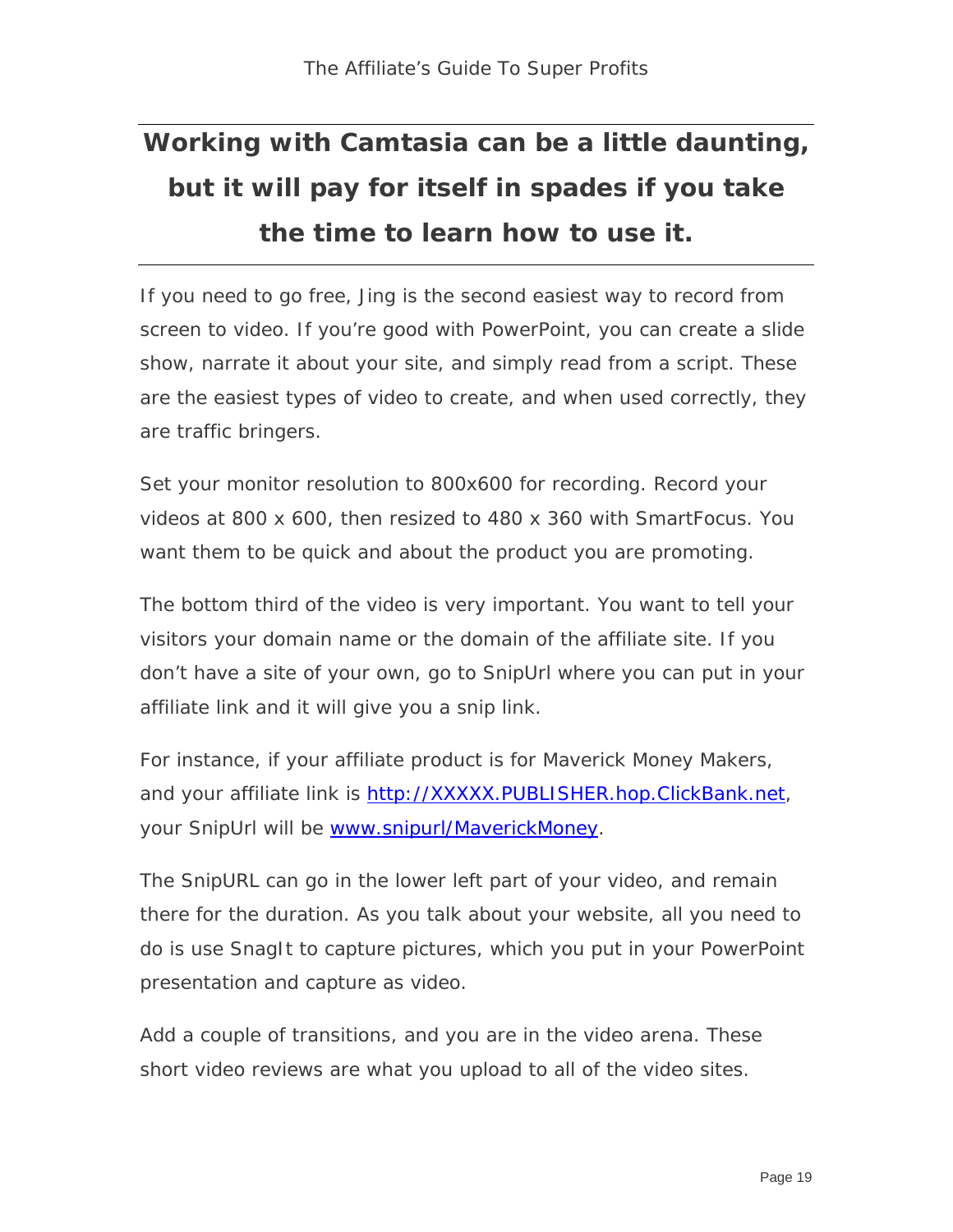## **Working with Camtasia can be a little daunting, but it will pay for itself in spades if you take the time to learn how to use it.**

If you need to go free, Jing is the second easiest way to record from screen to video. If you're good with PowerPoint, you can create a slide show, narrate it about your site, and simply read from a script. These are the easiest types of video to create, and when used correctly, they are traffic bringers.

Set your monitor resolution to 800x600 for recording. Record your videos at 800 x 600, then resized to 480 x 360 with SmartFocus. You want them to be quick and about the product you are promoting.

The bottom third of the video is very important. You want to tell your visitors your domain name or the domain of the affiliate site. If you don't have a site of your own, go to SnipUrl where you can put in your affiliate link and it will give you a snip link.

For instance, if your affiliate product is for Maverick Money Makers, and your affiliate link is http://XXXXX.PUBLISHER.hop.ClickBank.net, your SnipUrl will be www.snipurl/MaverickMoney.

The SnipURL can go in the lower left part of your video, and remain there for the duration. As you talk about your website, all you need to do is use SnagIt to capture pictures, which you put in your PowerPoint presentation and capture as video.

Add a couple of transitions, and you are in the video arena. These short video reviews are what you upload to all of the video sites.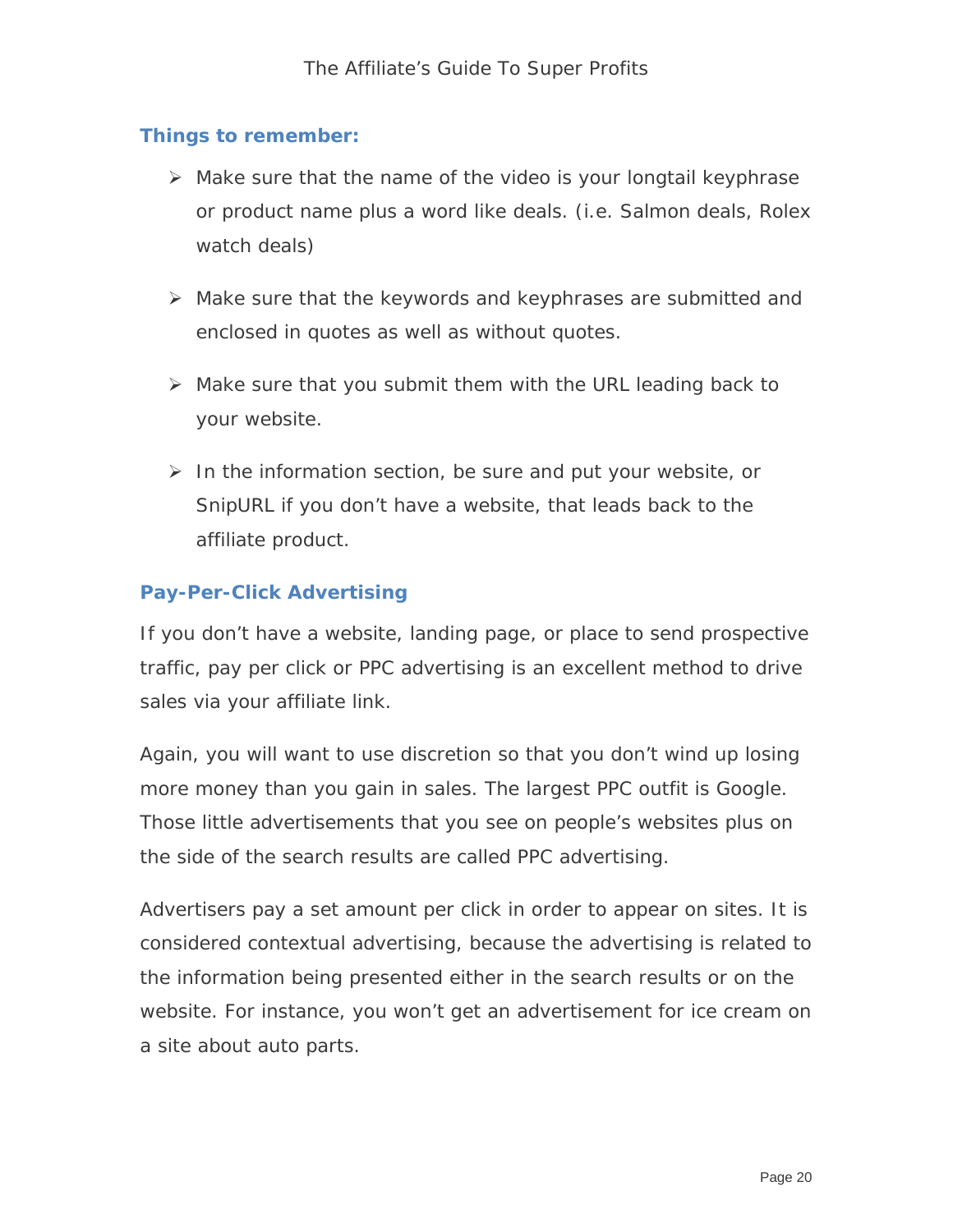#### **Things to remember:**

- $\triangleright$  Make sure that the name of the video is your longtail keyphrase or product name plus a word like deals. (i.e. Salmon deals, Rolex watch deals)
- $\triangleright$  Make sure that the keywords and keyphrases are submitted and enclosed in quotes as well as without quotes.
- $\triangleright$  Make sure that you submit them with the URL leading back to your website.
- $\triangleright$  In the information section, be sure and put your website, or SnipURL if you don't have a website, that leads back to the affiliate product.

#### **Pay-Per-Click Advertising**

If you don't have a website, landing page, or place to send prospective traffic, pay per click or PPC advertising is an excellent method to drive sales via your affiliate link.

Again, you will want to use discretion so that you don't wind up losing more money than you gain in sales. The largest PPC outfit is Google. Those little advertisements that you see on people's websites plus on the side of the search results are called PPC advertising.

Advertisers pay a set amount per click in order to appear on sites. It is considered contextual advertising, because the advertising is related to the information being presented either in the search results or on the website. For instance, you won't get an advertisement for ice cream on a site about auto parts.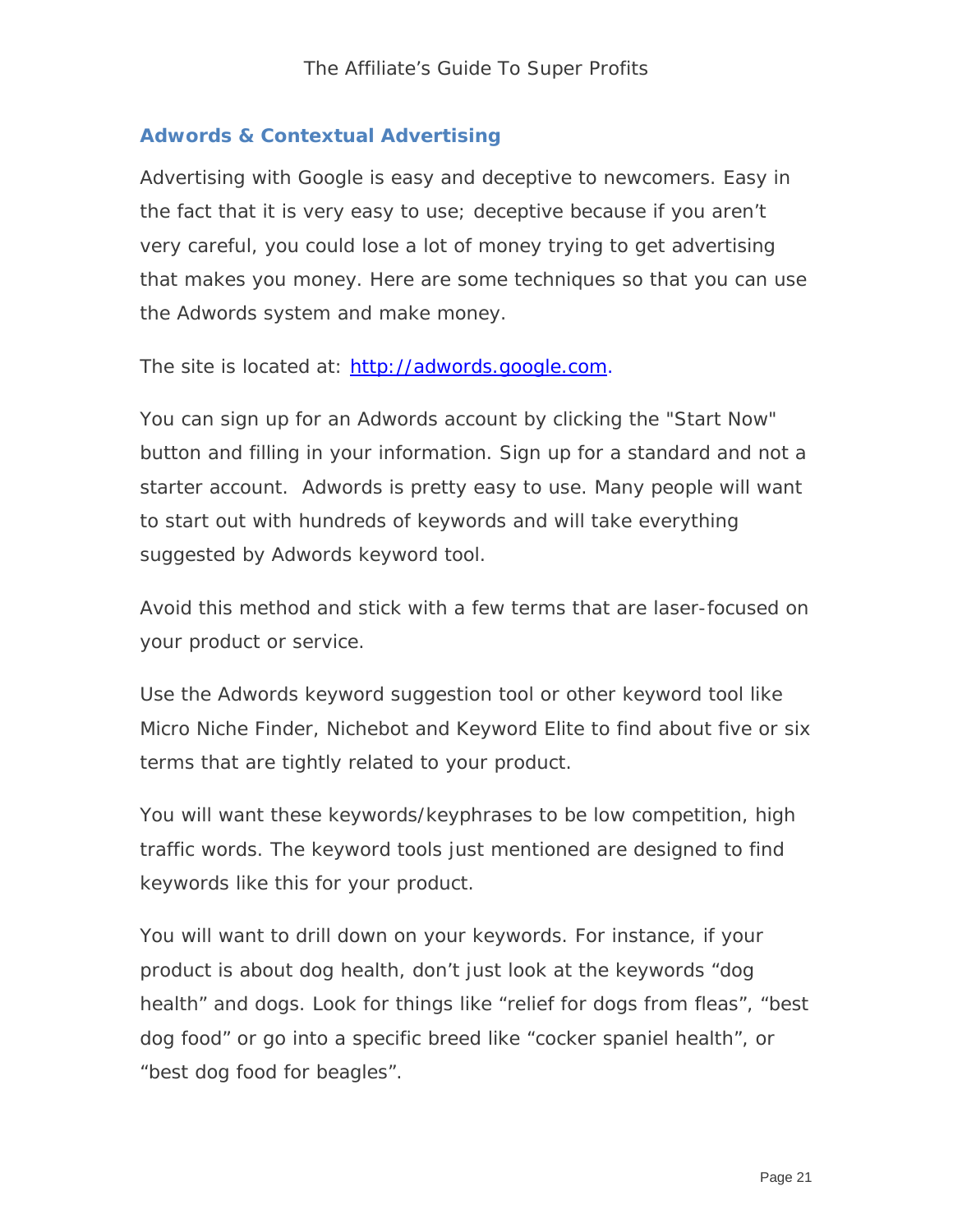#### **Adwords & Contextual Advertising**

Advertising with Google is easy and deceptive to newcomers. Easy in the fact that it is very easy to use; deceptive because if you aren't very careful, you could lose a lot of money trying to get advertising that makes you money. Here are some techniques so that you can use the Adwords system and make money.

The site is located at: [http://adwords.google.com](http://adwords.google.com/).

You can sign up for an Adwords account by clicking the "Start Now" button and filling in your information. Sign up for a standard and not a starter account. Adwords is pretty easy to use. Many people will want to start out with hundreds of keywords and will take everything suggested by Adwords keyword tool.

Avoid this method and stick with a few terms that are laser-focused on your product or service.

Use the Adwords keyword suggestion tool or other keyword tool like Micro Niche Finder, Nichebot and Keyword Elite to find about five or six terms that are tightly related to your product.

You will want these keywords/keyphrases to be low competition, high traffic words. The keyword tools just mentioned are designed to find keywords like this for your product.

You will want to drill down on your keywords. For instance, if your product is about dog health, don't just look at the keywords "dog health" and dogs. Look for things like "relief for dogs from fleas", "best dog food" or go into a specific breed like "cocker spaniel health", or "best dog food for beagles".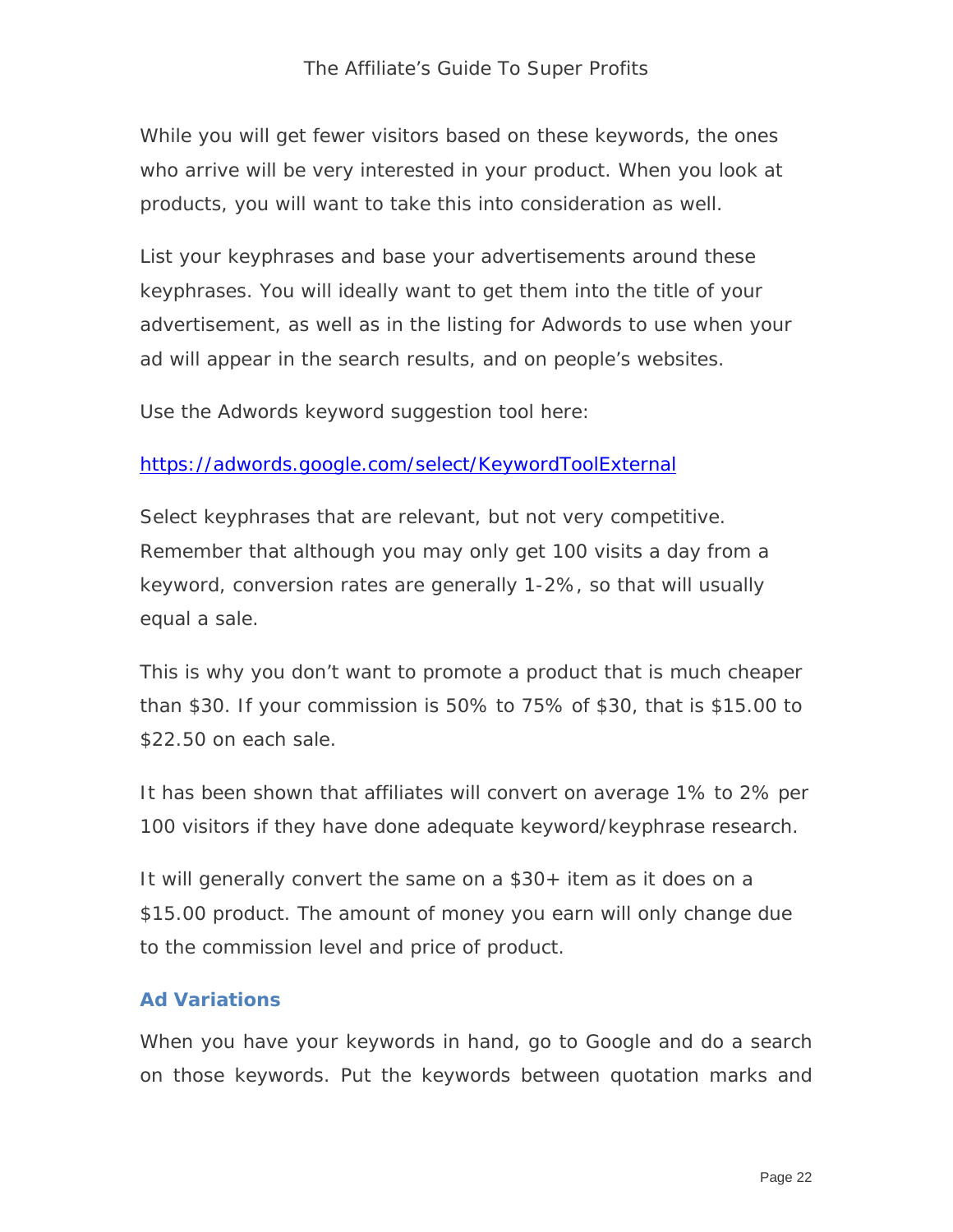While you will get fewer visitors based on these keywords, the ones who arrive will be very interested in your product. When you look at products, you will want to take this into consideration as well.

List your keyphrases and base your advertisements around these keyphrases. You will ideally want to get them into the title of your advertisement, as well as in the listing for Adwords to use when your ad will appear in the search results, and on people's websites.

Use the Adwords keyword suggestion tool here:

#### <https://adwords.google.com/select/KeywordToolExternal>

Select keyphrases that are relevant, but not very competitive. Remember that although you may only get 100 visits a day from a keyword, conversion rates are generally 1-2%, so that will usually equal a sale.

This is why you don't want to promote a product that is much cheaper than \$30. If your commission is 50% to 75% of \$30, that is \$15.00 to \$22.50 on each sale.

It has been shown that affiliates will convert on average 1% to 2% per 100 visitors if they have done adequate keyword/keyphrase research.

It will generally convert the same on a \$30+ item as it does on a \$15.00 product. The amount of money you earn will only change due to the commission level and price of product.

#### **Ad Variations**

When you have your keywords in hand, go to Google and do a search on those keywords. Put the keywords between quotation marks and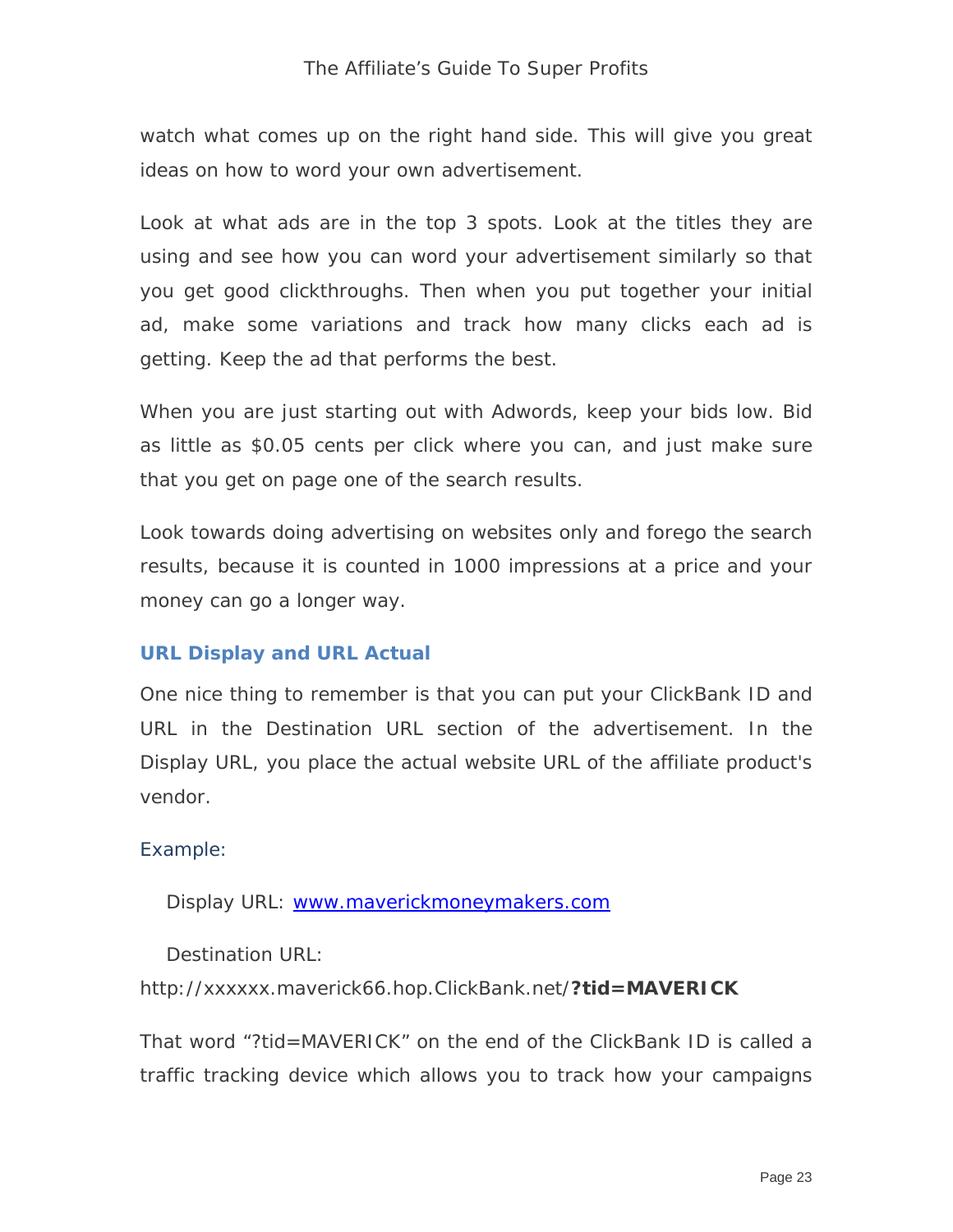#### The Affiliate's Guide To Super Profits

watch what comes up on the right hand side. This will give you great ideas on how to word your own advertisement.

Look at what ads are in the top 3 spots. Look at the titles they are using and see how you can word your advertisement similarly so that you get good clickthroughs. Then when you put together your initial ad, make some variations and track how many clicks each ad is getting. Keep the ad that performs the best.

When you are just starting out with Adwords, keep your bids low. Bid as little as \$0.05 cents per click where you can, and just make sure that you get on page one of the search results.

Look towards doing advertising on websites only and forego the search results, because it is counted in 1000 impressions at a price and your money can go a longer way.

#### **URL Display and URL Actual**

One nice thing to remember is that you can put your ClickBank ID and URL in the Destination URL section of the advertisement. In the Display URL, you place the actual website URL of the affiliate product's vendor.

#### Example:

Display URL: [www.maverickmoneymakers.com](http://www.maverickmoneymakers.com/)

Destination URL:

http://xxxxxx.maverick66.hop.ClickBank.net/**?tid=MAVERICK**

That word "?tid=MAVERICK" on the end of the ClickBank ID is called a traffic tracking device which allows you to track how your campaigns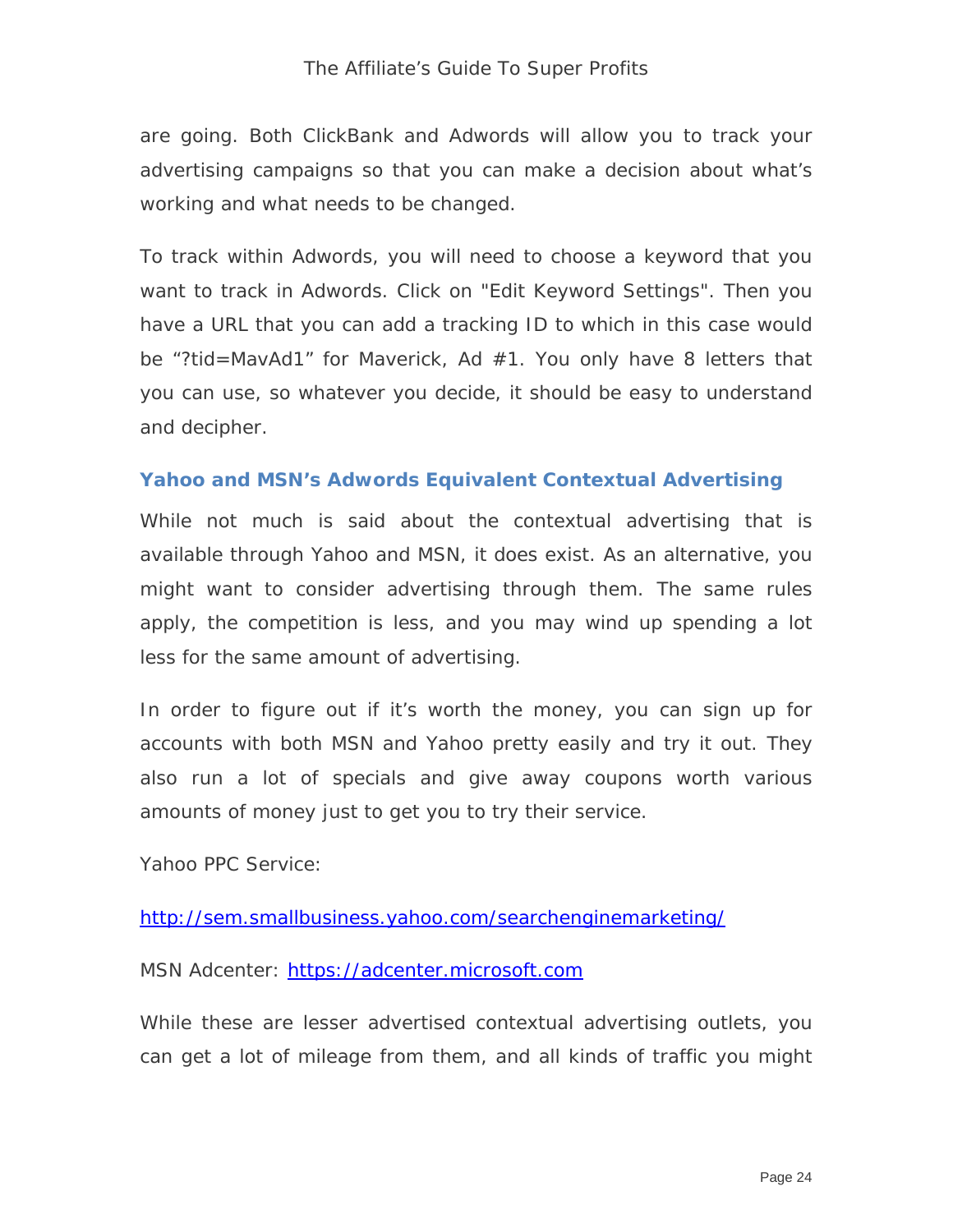are going. Both ClickBank and Adwords will allow you to track your advertising campaigns so that you can make a decision about what's working and what needs to be changed.

To track within Adwords, you will need to choose a keyword that you want to track in Adwords. Click on "Edit Keyword Settings". Then you have a URL that you can add a tracking ID to which in this case would be "?tid=MavAd1" for Maverick, Ad #1. You only have 8 letters that you can use, so whatever you decide, it should be easy to understand and decipher.

#### **Yahoo and MSN's Adwords Equivalent Contextual Advertising**

While not much is said about the contextual advertising that is available through Yahoo and MSN, it does exist. As an alternative, you might want to consider advertising through them. The same rules apply, the competition is less, and you may wind up spending a lot less for the same amount of advertising.

In order to figure out if it's worth the money, you can sign up for accounts with both MSN and Yahoo pretty easily and try it out. They also run a lot of specials and give away coupons worth various amounts of money just to get you to try their service.

Yahoo PPC Service:

<http://sem.smallbusiness.yahoo.com/searchenginemarketing/>

MSN Adcenter: [https://adcenter.microsoft.com](https://adcenter.microsoft.com/)

While these are lesser advertised contextual advertising outlets, you can get a lot of mileage from them, and all kinds of traffic you might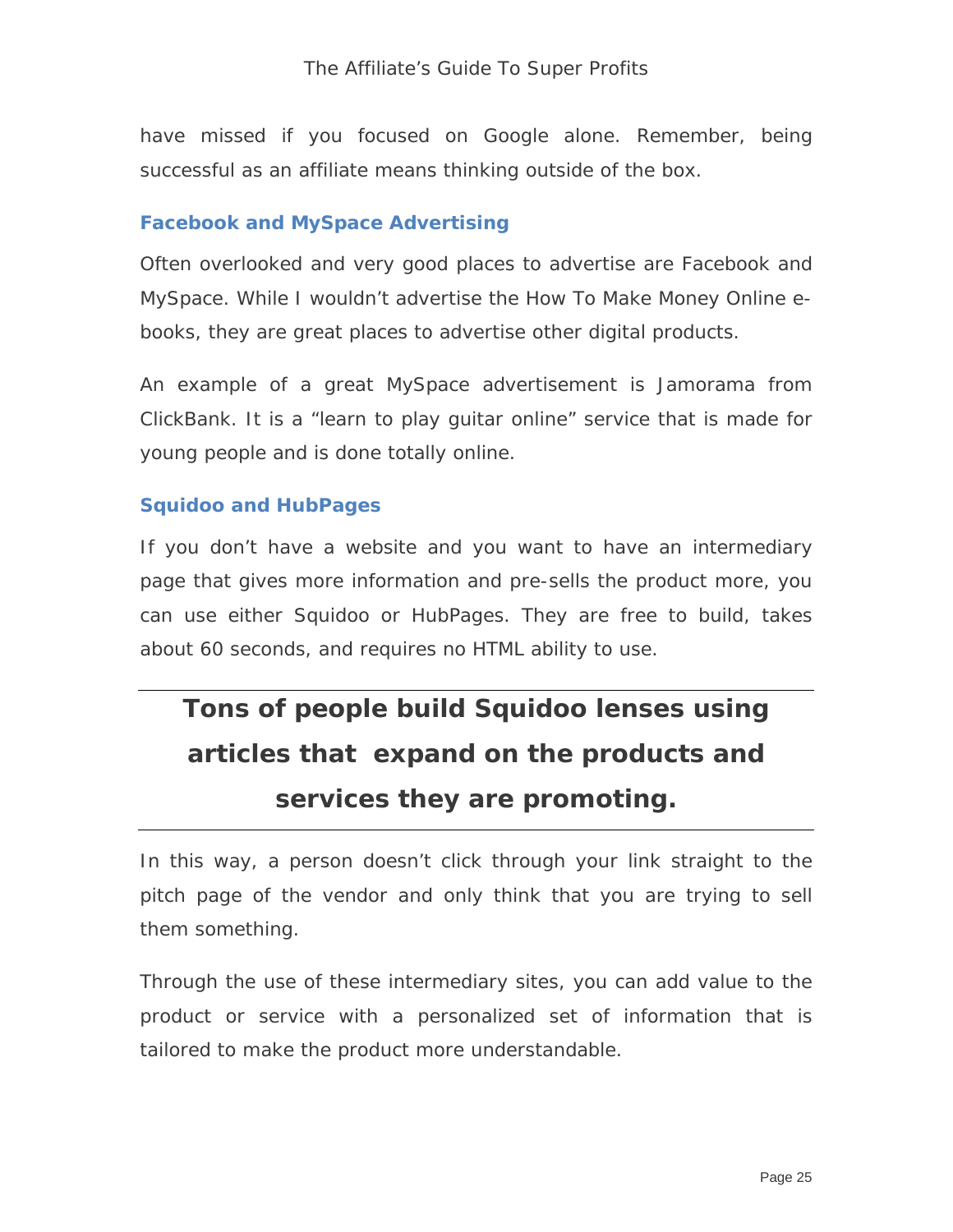have missed if you focused on Google alone. Remember, being successful as an affiliate means thinking outside of the box.

#### **Facebook and MySpace Advertising**

Often overlooked and very good places to advertise are Facebook and MySpace. While I wouldn't advertise the How To Make Money Online ebooks, they are great places to advertise other digital products.

An example of a great MySpace advertisement is Jamorama from ClickBank. It is a "learn to play guitar online" service that is made for young people and is done totally online.

#### **Squidoo and HubPages**

If you don't have a website and you want to have an intermediary page that gives more information and pre-sells the product more, you can use either Squidoo or HubPages. They are free to build, takes about 60 seconds, and requires no HTML ability to use.

## **Tons of people build Squidoo lenses using articles that expand on the products and services they are promoting.**

In this way, a person doesn't click through your link straight to the pitch page of the vendor and only think that you are trying to sell them something.

Through the use of these intermediary sites, you can add value to the product or service with a personalized set of information that is tailored to make the product more understandable.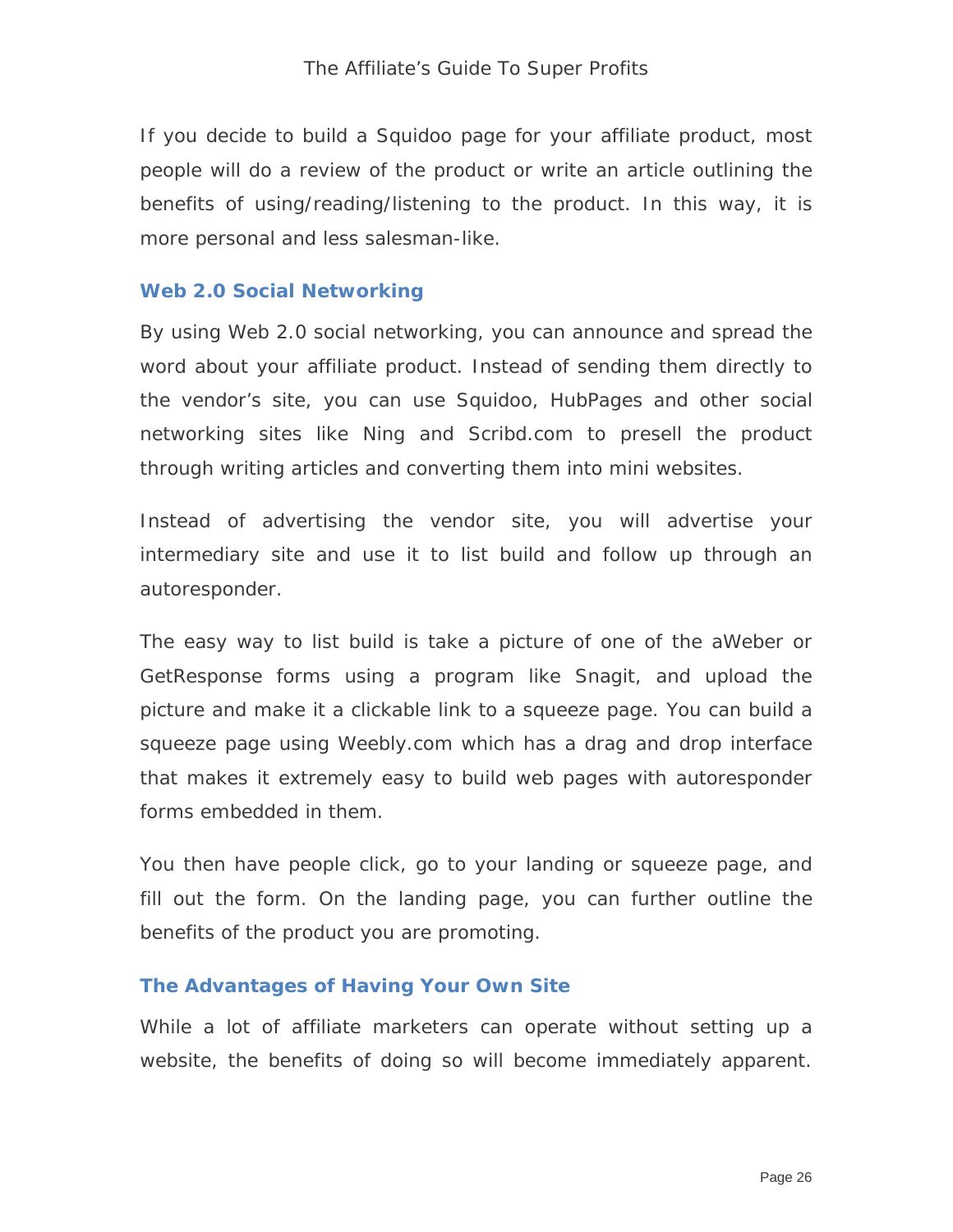If you decide to build a Squidoo page for your affiliate product, most people will do a review of the product or write an article outlining the benefits of using/reading/listening to the product. In this way, it is more personal and less salesman-like.

#### **Web 2.0 Social Networking**

By using Web 2.0 social networking, you can announce and spread the word about your affiliate product. Instead of sending them directly to the vendor's site, you can use Squidoo, HubPages and other social networking sites like Ning and Scribd.com to presell the product through writing articles and converting them into mini websites.

Instead of advertising the vendor site, you will advertise your intermediary site and use it to list build and follow up through an autoresponder.

The easy way to list build is take a picture of one of the aWeber or GetResponse forms using a program like Snagit, and upload the picture and make it a clickable link to a squeeze page. You can build a squeeze page using Weebly.com which has a drag and drop interface that makes it extremely easy to build web pages with autoresponder forms embedded in them.

You then have people click, go to your landing or squeeze page, and fill out the form. On the landing page, you can further outline the benefits of the product you are promoting.

#### **The Advantages of Having Your Own Site**

While a lot of affiliate marketers can operate without setting up a website, the benefits of doing so will become immediately apparent.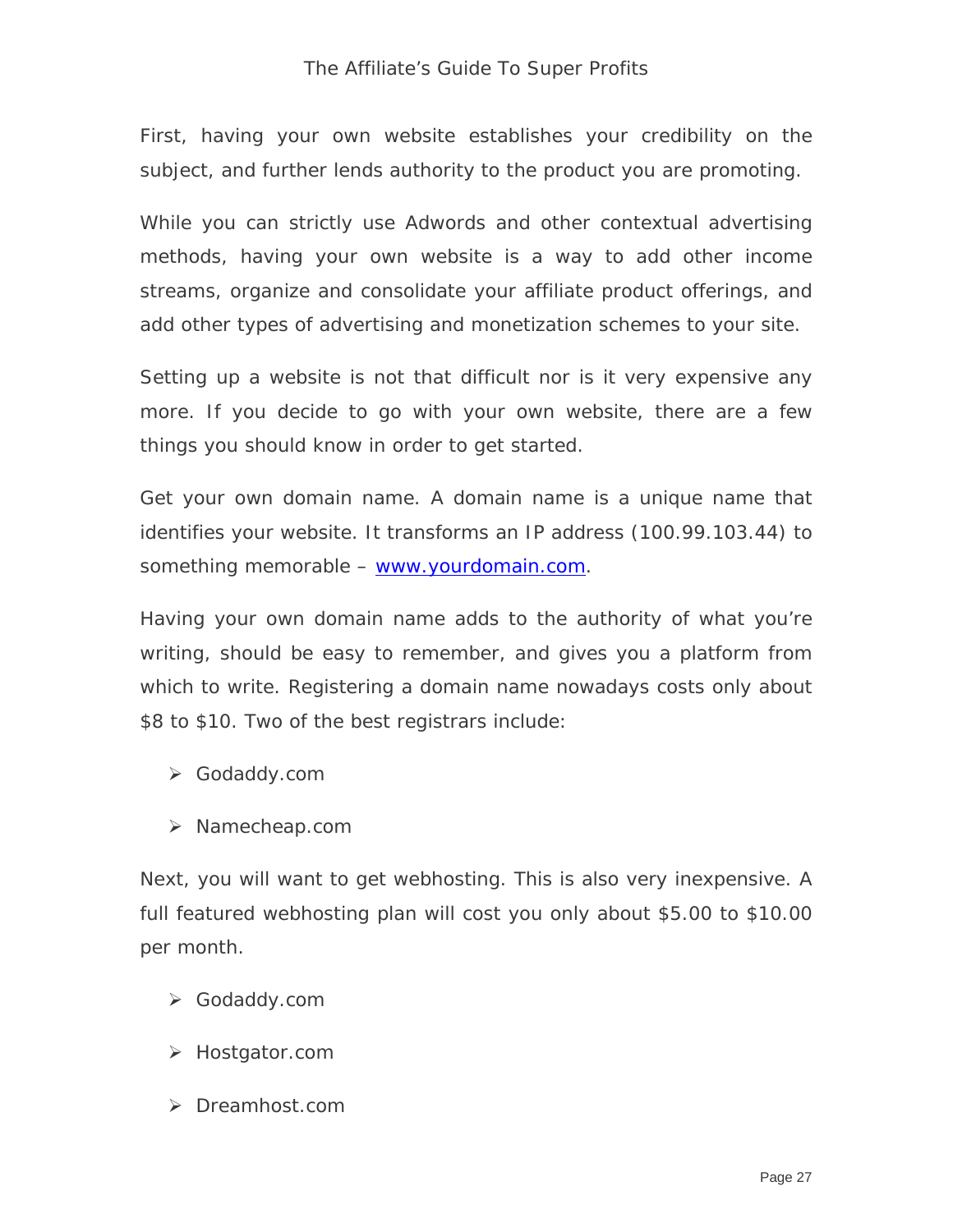#### The Affiliate's Guide To Super Profits

First, having your own website establishes your credibility on the subject, and further lends authority to the product you are promoting.

While you can strictly use Adwords and other contextual advertising methods, having your own website is a way to add other income streams, organize and consolidate your affiliate product offerings, and add other types of advertising and monetization schemes to your site.

Setting up a website is not that difficult nor is it very expensive any more. If you decide to go with your own website, there are a few things you should know in order to get started.

Get your own domain name. A domain name is a unique name that identifies your website. It transforms an IP address (100.99.103.44) to something memorable – [www.yourdomain.com](http://www.yourdomain.com/).

Having your own domain name adds to the authority of what you're writing, should be easy to remember, and gives you a platform from which to write. Registering a domain name nowadays costs only about \$8 to \$10. Two of the best registrars include:

- Godaddy.com
- > Namecheap.com

Next, you will want to get webhosting. This is also very inexpensive. A full featured webhosting plan will cost you only about \$5.00 to \$10.00 per month.

- Godaddy.com
- Hostgator.com
- > Dreamhost.com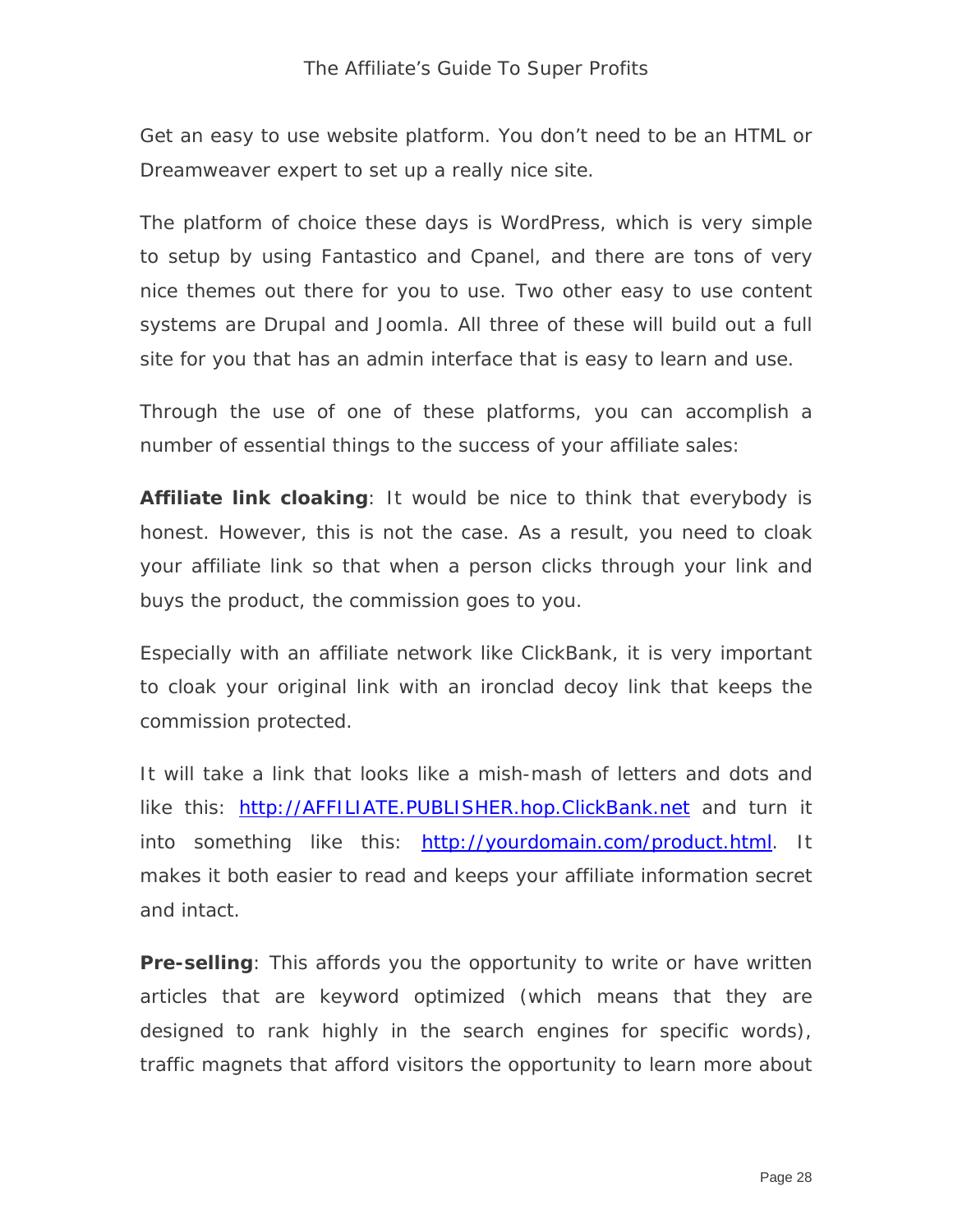Get an easy to use website platform. You don't need to be an HTML or Dreamweaver expert to set up a really nice site.

The platform of choice these days is WordPress, which is very simple to setup by using Fantastico and Cpanel, and there are tons of very nice themes out there for you to use. Two other easy to use content systems are Drupal and Joomla. All three of these will build out a full site for you that has an admin interface that is easy to learn and use.

Through the use of one of these platforms, you can accomplish a number of essential things to the success of your affiliate sales:

**Affiliate link cloaking**: It would be nice to think that everybody is honest. However, this is not the case. As a result, you need to cloak your affiliate link so that when a person clicks through your link and buys the product, the commission goes to you.

Especially with an affiliate network like ClickBank, it is very important to cloak your original link with an ironclad decoy link that keeps the commission protected.

It will take a link that looks like a mish-mash of letters and dots and like this: [http://AFFILIATE.PUBLISHER.hop.ClickBank.net](http://affiliate.publisher.hop.clickbank.net/) and turn it into something like this: http://yourdomain.com/product.html. It makes it both easier to read and keeps your affiliate information secret and intact.

**Pre-selling**: This affords you the opportunity to write or have written articles that are keyword optimized (which means that they are designed to rank highly in the search engines for specific words), traffic magnets that afford visitors the opportunity to learn more about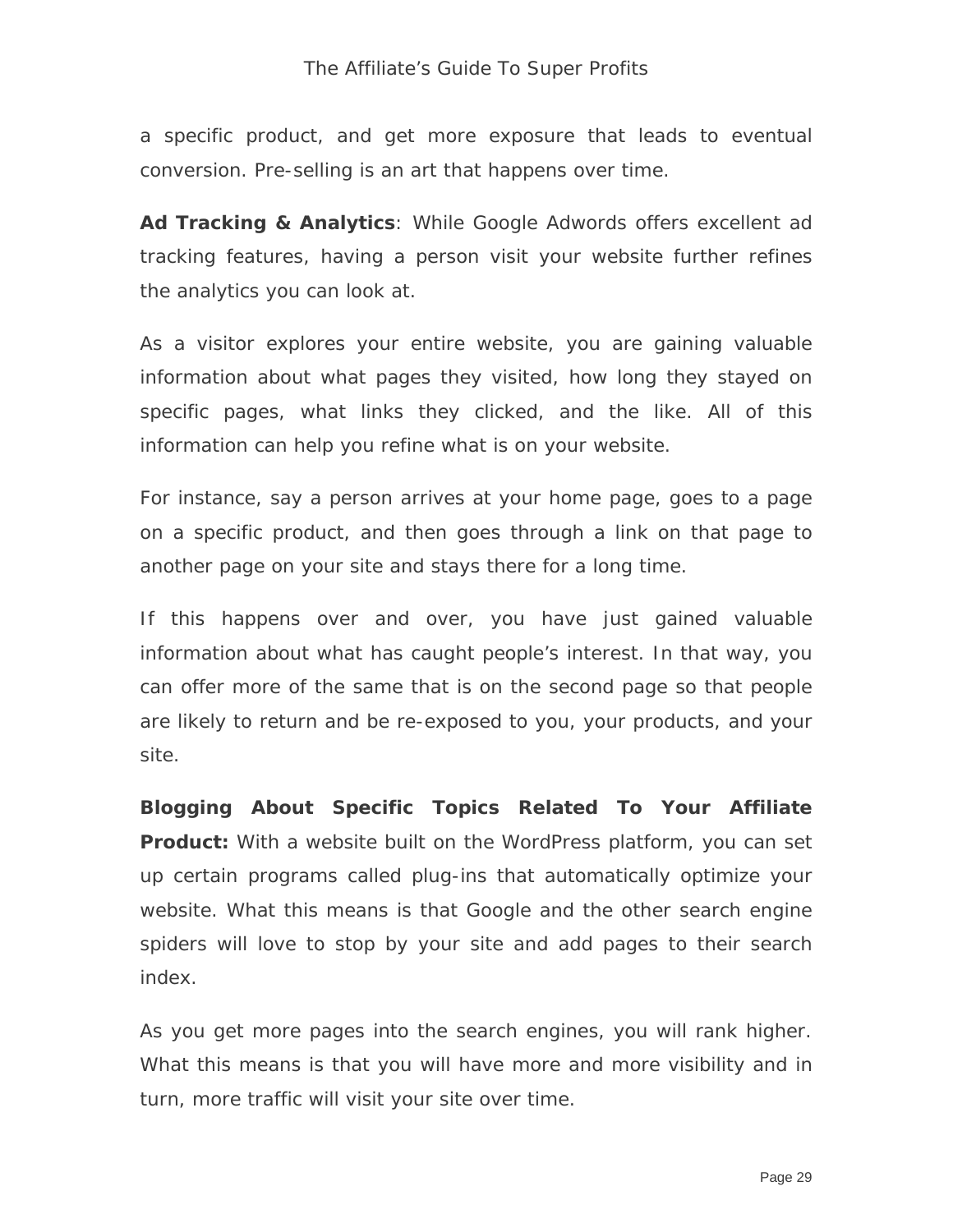a specific product, and get more exposure that leads to eventual conversion. Pre-selling is an art that happens over time.

**Ad Tracking & Analytics**: While Google Adwords offers excellent ad tracking features, having a person visit your website further refines the analytics you can look at.

As a visitor explores your entire website, you are gaining valuable information about what pages they visited, how long they stayed on specific pages, what links they clicked, and the like. All of this information can help you refine what is on your website.

For instance, say a person arrives at your home page, goes to a page on a specific product, and then goes through a link on that page to another page on your site and stays there for a long time.

If this happens over and over, you have just gained valuable information about what has caught people's interest. In that way, you can offer more of the same that is on the second page so that people are likely to return and be re-exposed to you, your products, and your site.

**Blogging About Specific Topics Related To Your Affiliate Product:** With a website built on the WordPress platform, you can set up certain programs called plug-ins that automatically optimize your website. What this means is that Google and the other search engine spiders will love to stop by your site and add pages to their search index.

As you get more pages into the search engines, you will rank higher. What this means is that you will have more and more visibility and in turn, more traffic will visit your site over time.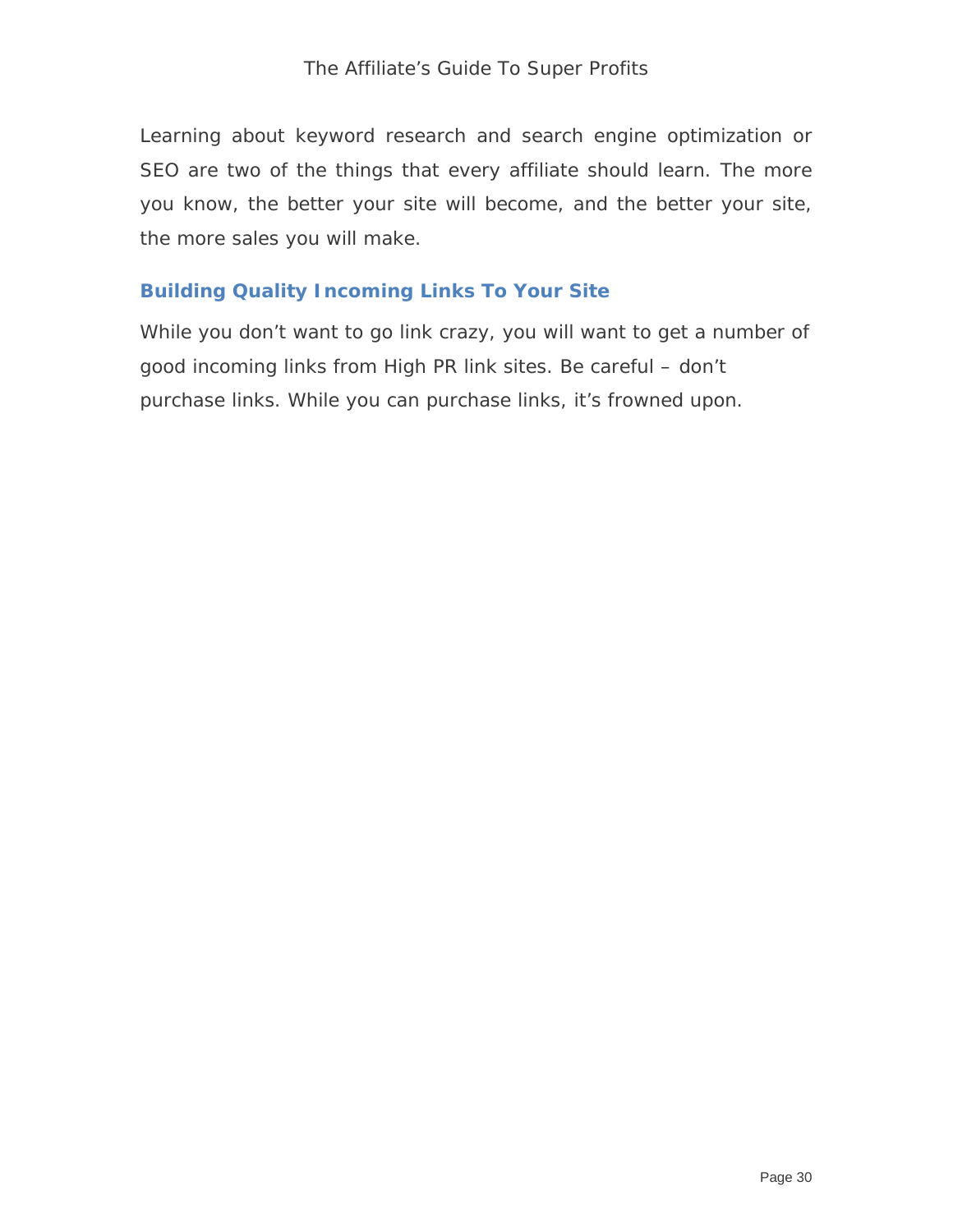Learning about keyword research and search engine optimization or SEO are two of the things that every affiliate should learn. The more you know, the better your site will become, and the better your site, the more sales you will make.

#### **Building Quality Incoming Links To Your Site**

While you don't want to go link crazy, you will want to get a number of good incoming links from High PR link sites. Be careful – don't purchase links. While you can purchase links, it's frowned upon.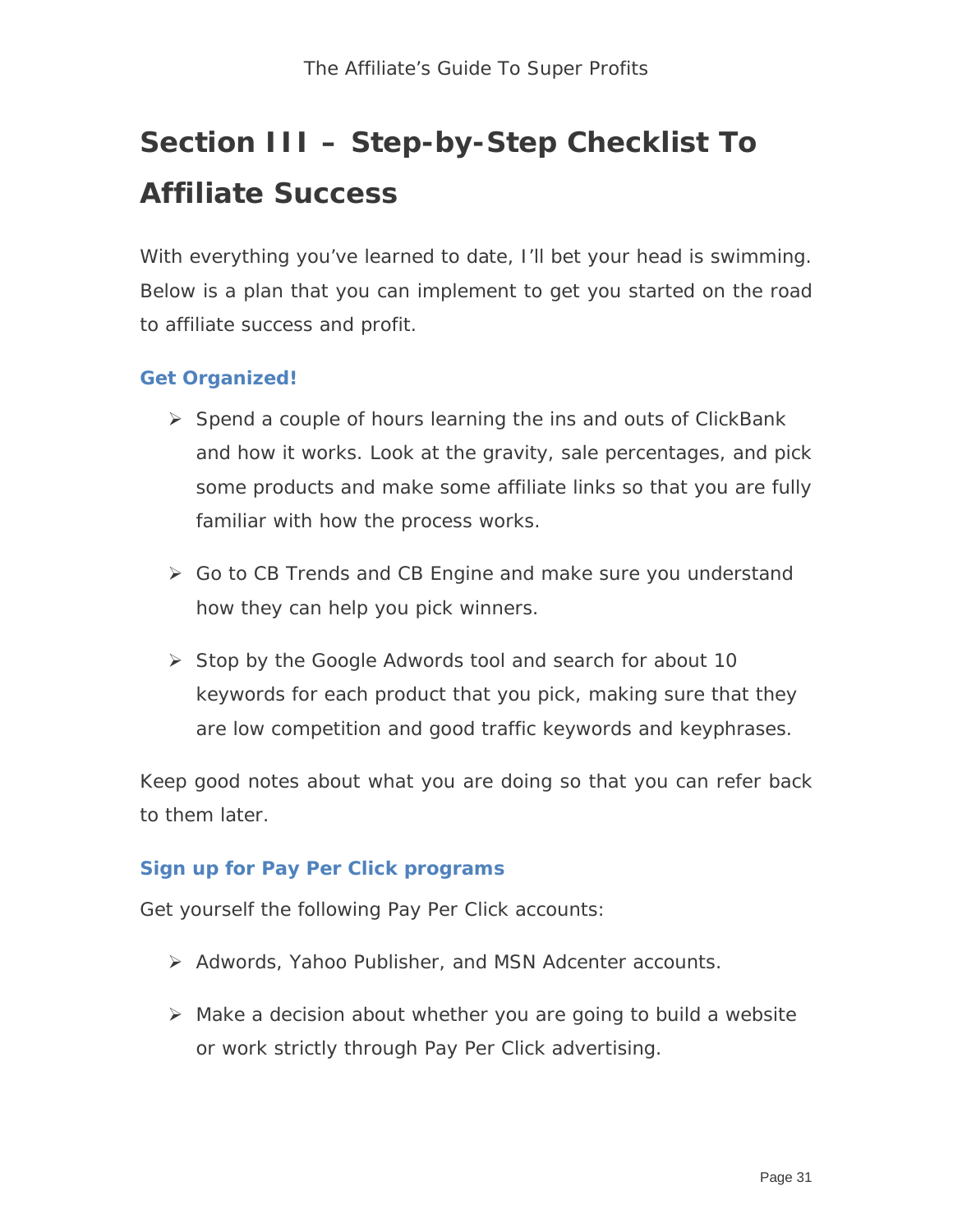# **Section III – Step-by-Step Checklist To Affiliate Success**

With everything you've learned to date, I'll bet your head is swimming. Below is a plan that you can implement to get you started on the road to affiliate success and profit.

#### **Get Organized!**

- $\triangleright$  Spend a couple of hours learning the ins and outs of ClickBank and how it works. Look at the gravity, sale percentages, and pick some products and make some affiliate links so that you are fully familiar with how the process works.
- Go to CB Trends and CB Engine and make sure you understand how they can help you pick winners.
- $\triangleright$  Stop by the Google Adwords tool and search for about 10 keywords for each product that you pick, making sure that they are low competition and good traffic keywords and keyphrases.

Keep good notes about what you are doing so that you can refer back to them later.

#### **Sign up for Pay Per Click programs**

Get yourself the following Pay Per Click accounts:

- ▶ Adwords, Yahoo Publisher, and MSN Adcenter accounts.
- Make a decision about whether you are going to build a website or work strictly through Pay Per Click advertising.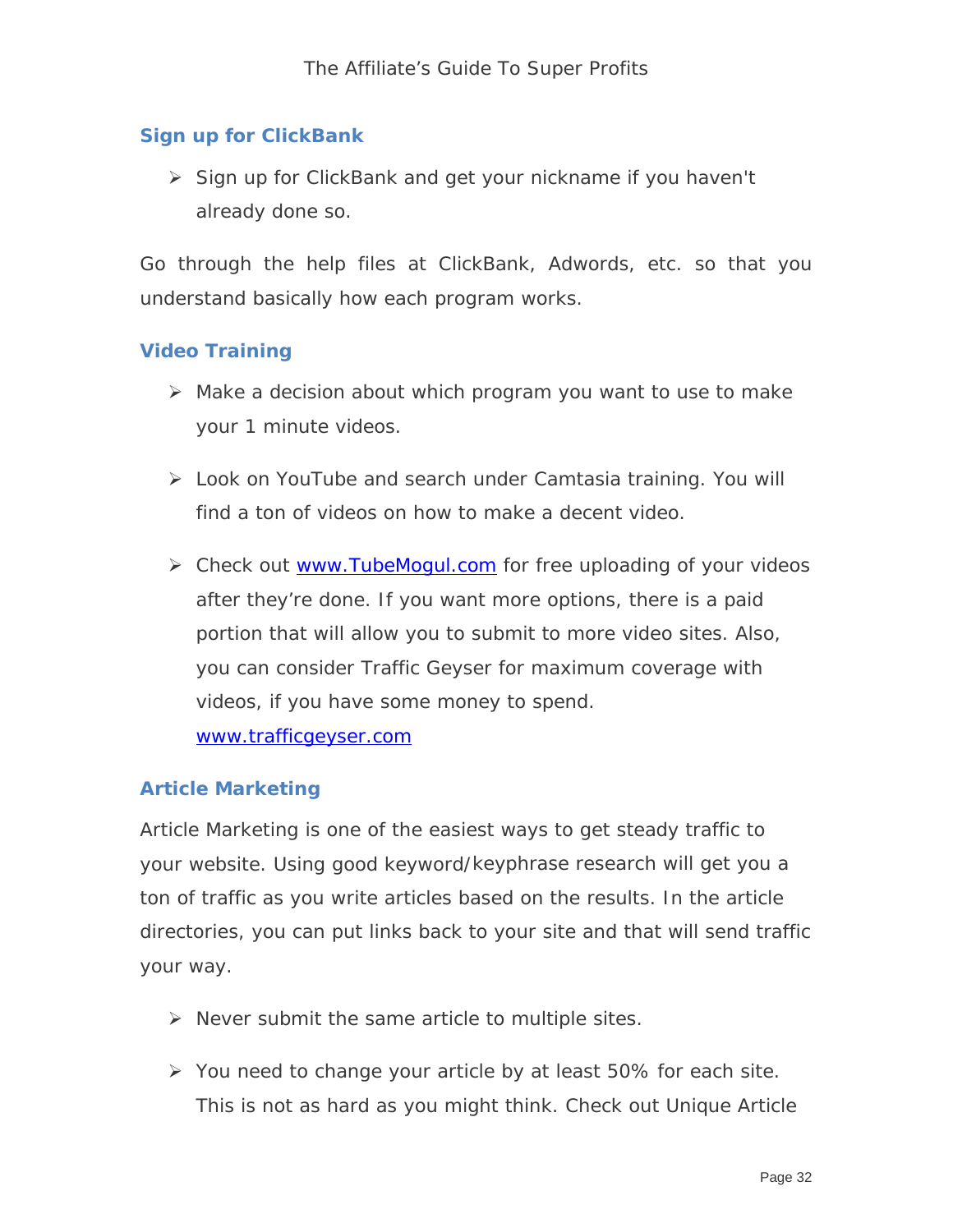#### **Sign up for ClickBank**

 $\triangleright$  Sign up for ClickBank and get your nickname if you haven't already done so.

Go through the help files at ClickBank, Adwords, etc. so that you understand basically how each program works.

#### **Video Training**

- $\triangleright$  Make a decision about which program you want to use to make your 1 minute videos.
- Look on YouTube and search under Camtasia training. You will find a ton of videos on how to make a decent video.
- ▶ Check out [www.TubeMogul.com](http://www.tubemogul.com/) for free uploading of your videos after they're done. If you want more options, there is a paid portion that will allow you to submit to more video sites. Also, you can consider Traffic Geyser for maximum coverage with videos, if you have some money to spend. [www.trafficgeyser.com](http://www.trafficgeyser.com/)

#### **Article Marketing**

Article Marketing is one of the easiest ways to get steady traffic to your website. Using good keyword/keyphrase research will get you a ton of traffic as you write articles based on the results. In the article directories, you can put links back to your site and that will send traffic your way.

- $\triangleright$  Never submit the same article to multiple sites.
- $\triangleright$  You need to change your article by at least 50% for each site. This is not as hard as you might think. Check out Unique Article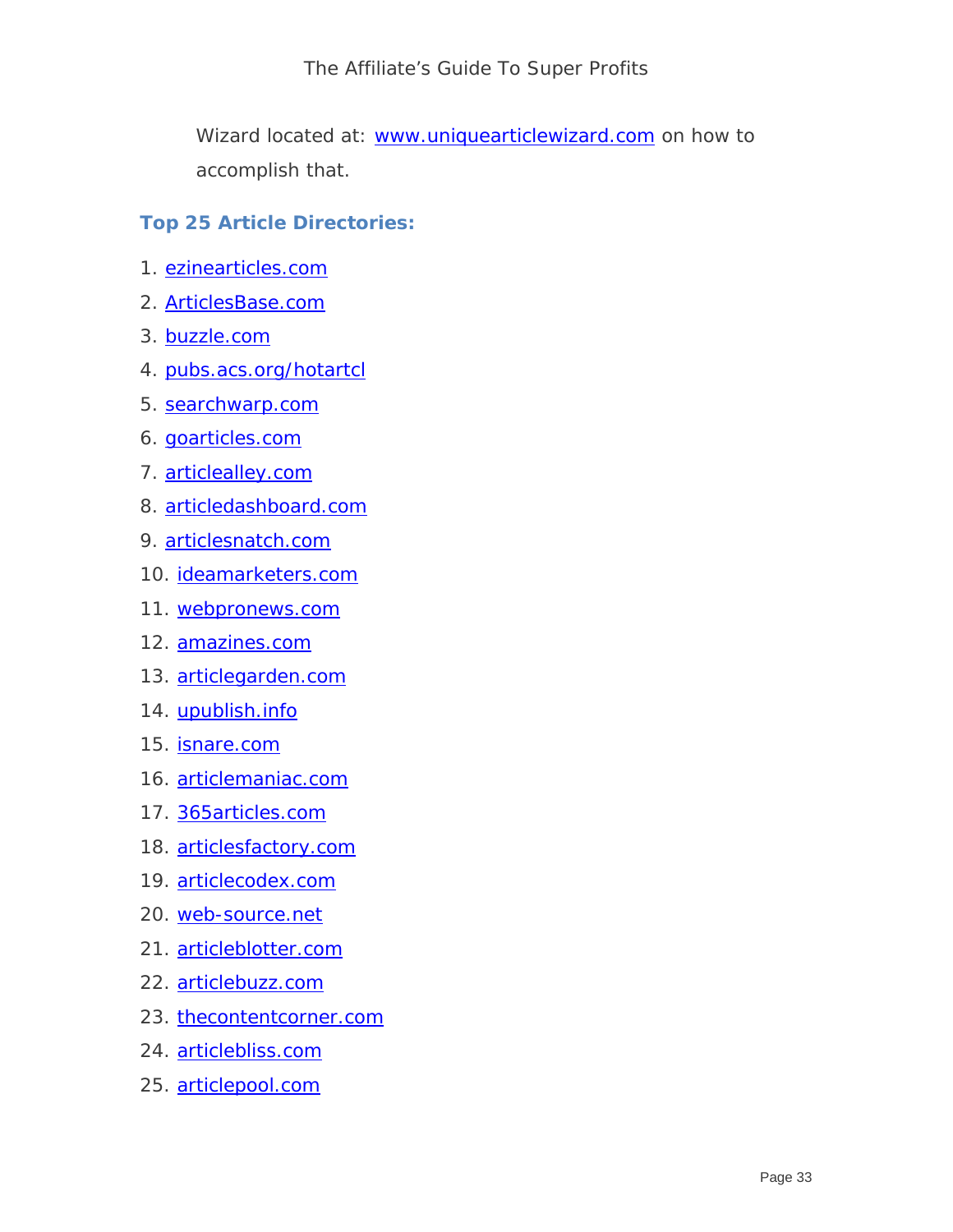The Affiliate's Guide To Super Profits

Wizard located at: www.uniquearticlewizard.com on how to accomplish that.

#### **Top 25 Article Directories:**

- 1. [ezinearticles.com](http://www.ezinearticles.com/)
- 2. [ArticlesBase.com](http://www.articlesbase.com/)
- 3. [buzzle.com](http://www.buzzle.com/)
- 4. [pubs.acs.org/hotartcl](http://www.pubs.acs.org/hotartcl)
- 5. [searchwarp.com](http://www.searchwarp.com/)
- 6. [goarticles.com](http://www.goarticles.com/)
- 7. [articlealley.com](http://www.articlealley.com/)
- 8. [articledashboard.com](http://www.articledashboard.com/)
- 9. [articlesnatch.com](http://www.articlesnatch.com/)
- 10. [ideamarketers.com](http://www.ideamarketers.com/)
- 11. [webpronews.com](http://www.webpronews.com/)
- 12. [amazines.com](http://www.amazines.com/)
- 13. [articlegarden.com](http://www.articlegarden.com/)
- 14. [upublish.info](http://www.upublish.info/)
- 15. [isnare.com](http://www.isnare.com/)
- 16. [articlemaniac.com](http://www.articlemaniac.com/)
- 17. [365articles.com](http://www.365articles.com/)
- 18. [articlesfactory.com](http://www.articlesfactory.com/)
- 19. [articlecodex.com](http://www.articlecodex.com/)
- 20. [web-source.net](http://www.web-source.net/)
- 21. [articleblotter.com](http://www.articleblotter.com/)
- 22. [articlebuzz.com](http://www.article-buzz.com/)
- 23. [thecontentcorner.com](http://www.thecontentcorner.com/)
- 24. [articlebliss.com](http://www.articlebliss.com/)
- 25. [articlepool.com](http://www.articlepool.com/)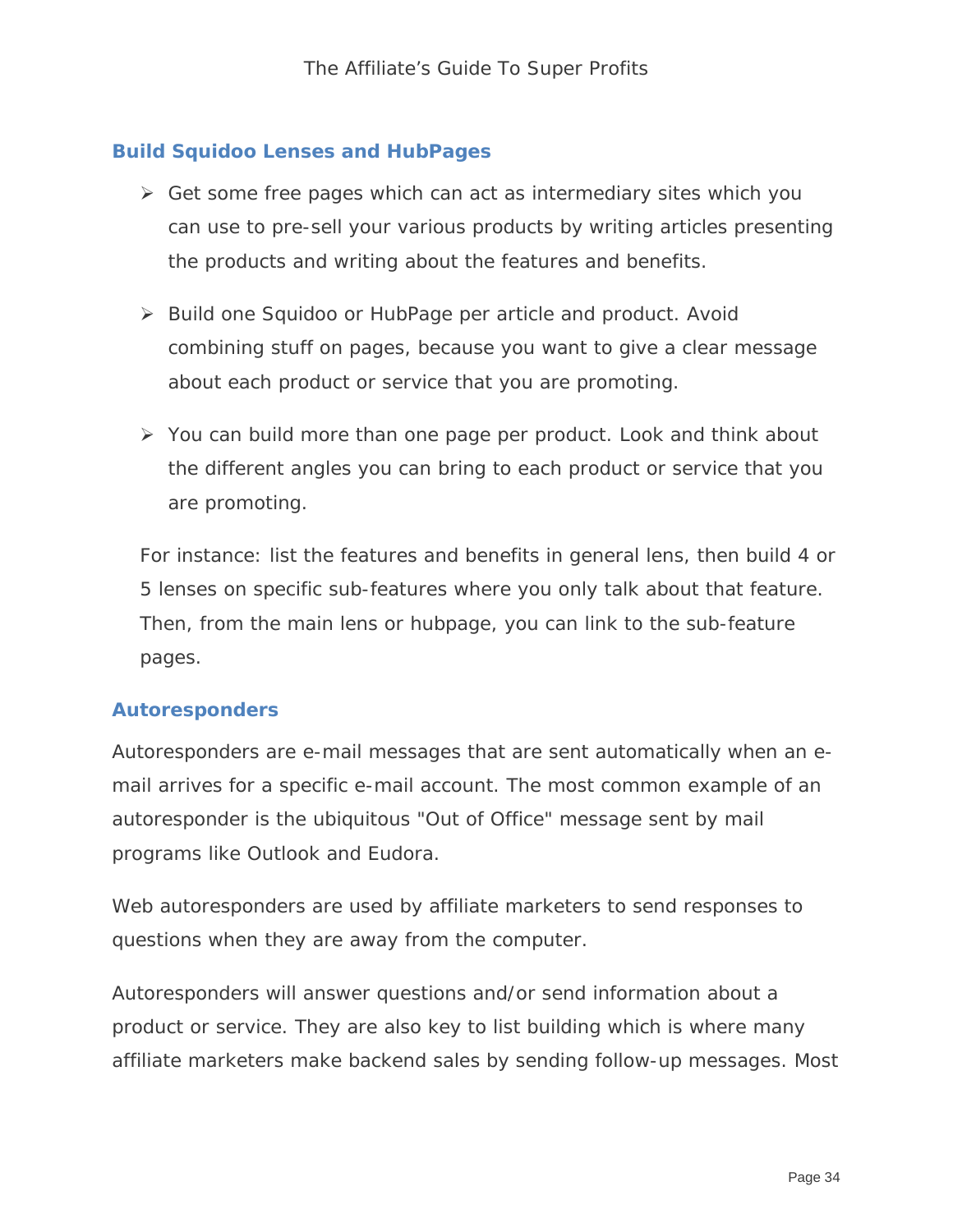#### **Build Squidoo Lenses and HubPages**

- $\triangleright$  Get some free pages which can act as intermediary sites which you can use to pre-sell your various products by writing articles presenting the products and writing about the features and benefits.
- ▶ Build one Squidoo or HubPage per article and product. Avoid combining stuff on pages, because you want to give a clear message about each product or service that you are promoting.
- $\triangleright$  You can build more than one page per product. Look and think about the different angles you can bring to each product or service that you are promoting.

For instance: list the features and benefits in general lens, then build 4 or 5 lenses on specific sub-features where you only talk about that feature. Then, from the main lens or hubpage, you can link to the sub-feature pages.

#### **Autoresponders**

Autoresponders are e-mail messages that are sent automatically when an email arrives for a specific e-mail account. The most common example of an autoresponder is the ubiquitous "Out of Office" message sent by mail programs like Outlook and Eudora.

Web autoresponders are used by affiliate marketers to send responses to questions when they are away from the computer.

Autoresponders will answer questions and/or send information about a product or service. They are also key to list building which is where many affiliate marketers make backend sales by sending follow-up messages. Most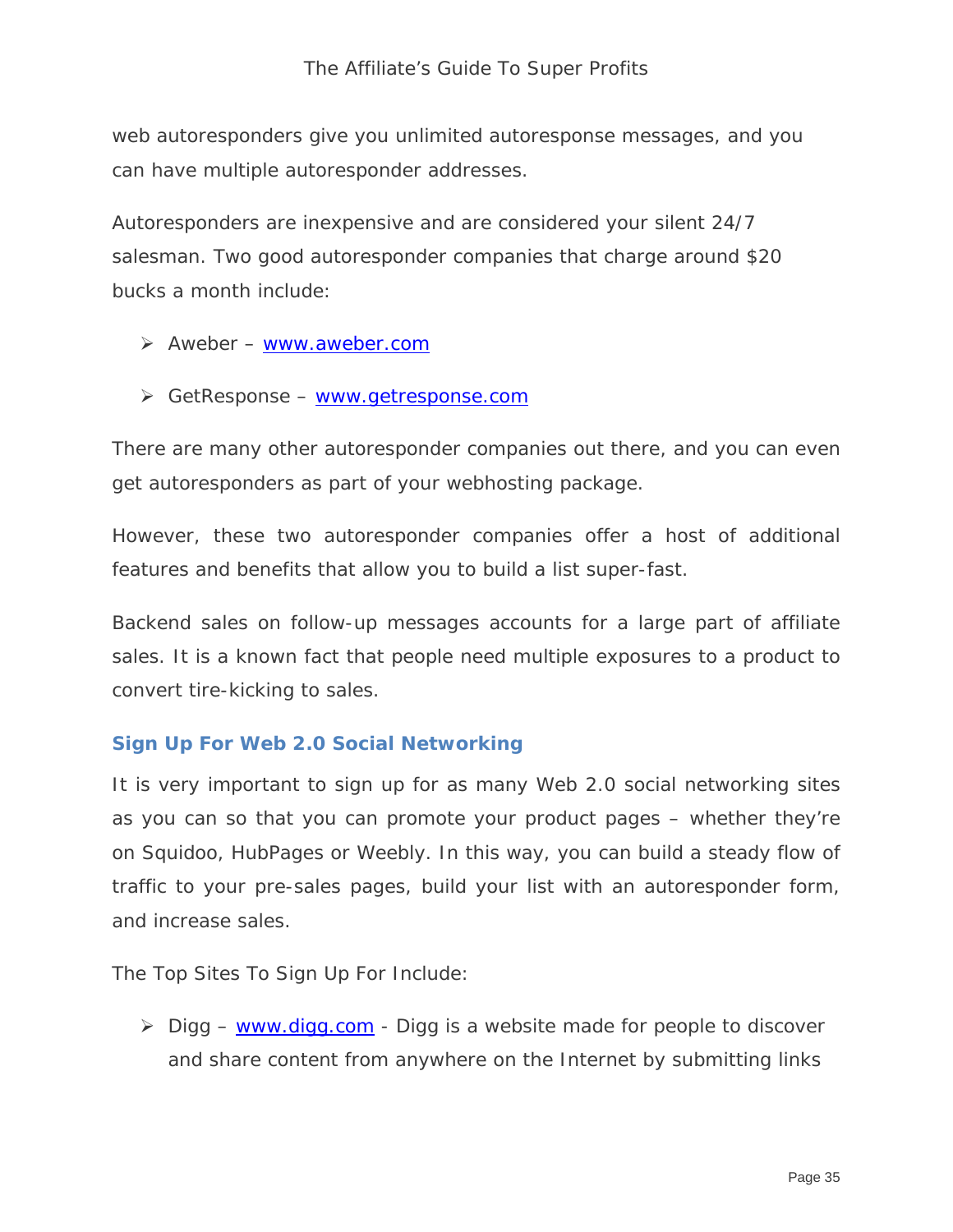web autoresponders give you unlimited autoresponse messages, and you can have multiple autoresponder addresses.

Autoresponders are inexpensive and are considered your silent 24/7 salesman. Two good autoresponder companies that charge around \$20 bucks a month include:

- $\triangleright$  Aweber [www.aweber.com](http://www.aweber.com/)
- GetResponse [www.getresponse.com](http://www.getresponse.com/)

There are many other autoresponder companies out there, and you can even get autoresponders as part of your webhosting package.

However, these two autoresponder companies offer a host of additional features and benefits that allow you to build a list super-fast.

Backend sales on follow-up messages accounts for a large part of affiliate sales. It is a known fact that people need multiple exposures to a product to convert tire-kicking to sales.

#### **Sign Up For Web 2.0 Social Networking**

It is very important to sign up for as many Web 2.0 social networking sites as you can so that you can promote your product pages – whether they're on Squidoo, HubPages or Weebly. In this way, you can build a steady flow of traffic to your pre-sales pages, build your list with an autoresponder form, and increase sales.

The Top Sites To Sign Up For Include:

 $\triangleright$  Digg – [www.digg.com](http://www.digg.com/) - Digg is a website made for people to discover and share content from anywhere on the Internet by submitting links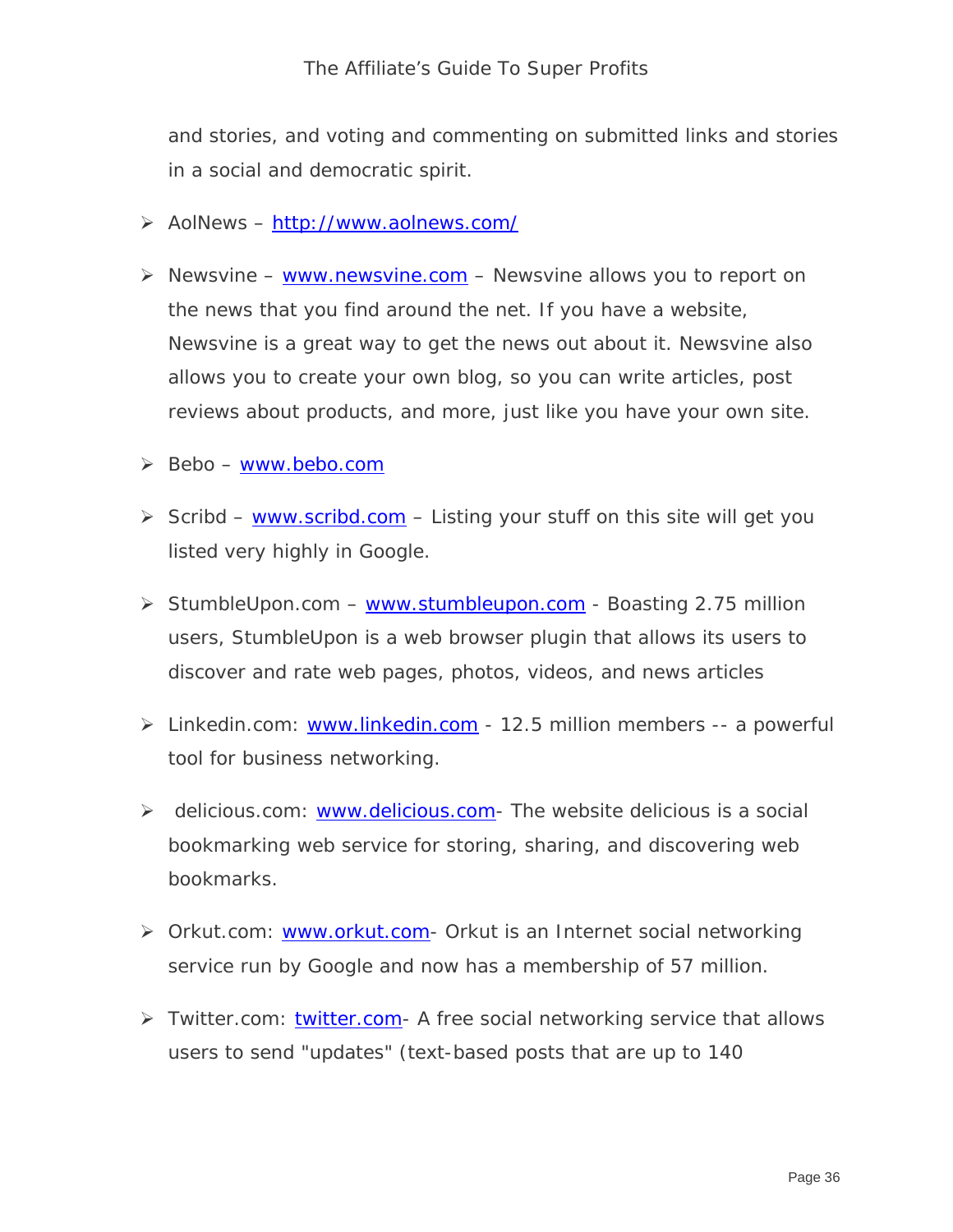and stories, and voting and commenting on submitted links and stories in a social and democratic spirit.

- AolNews –<http://www.aolnews.com/>
- $\triangleright$  Newsvine [www.newsvine.com](http://www.newsvine.com/)  Newsvine allows you to report on the news that you find around the net. If you have a website, Newsvine is a great way to get the news out about it. Newsvine also allows you to create your own blog, so you can write articles, post reviews about products, and more, just like you have your own site.
- $\triangleright$  Bebo – [www.bebo.com](http://www.bebo.com/)
- Scribd [www.scribd.com](http://www.scribd.com/) Listing your stuff on this site will get you listed very highly in Google.
- StumbleUpon.com [www.stumbleupon.com](http://www.stumbleupon.com/) Boasting 2.75 million users, StumbleUpon is a web browser plugin that allows its users to discover and rate web pages, photos, videos, and news articles
- > Linkedin.com: [www.linkedin.com](http://www.linkedin.com/) 12.5 million members -- a powerful tool for business networking.
- $\triangleright$  delicious.com: [www.delicious.com-](http://www.delicious.com/) The website delicious is a social bookmarking web service for storing, sharing, and discovering web bookmarks.
- > Orkut.com: [www.orkut.com](http://www.orkut.com/) Orkut is an Internet social networking service run by Google and now has a membership of 57 million.
- Twitter.com: [twitter.com-](http://twitter.com/) A free social networking service that allows users to send "updates" (text-based posts that are up to 140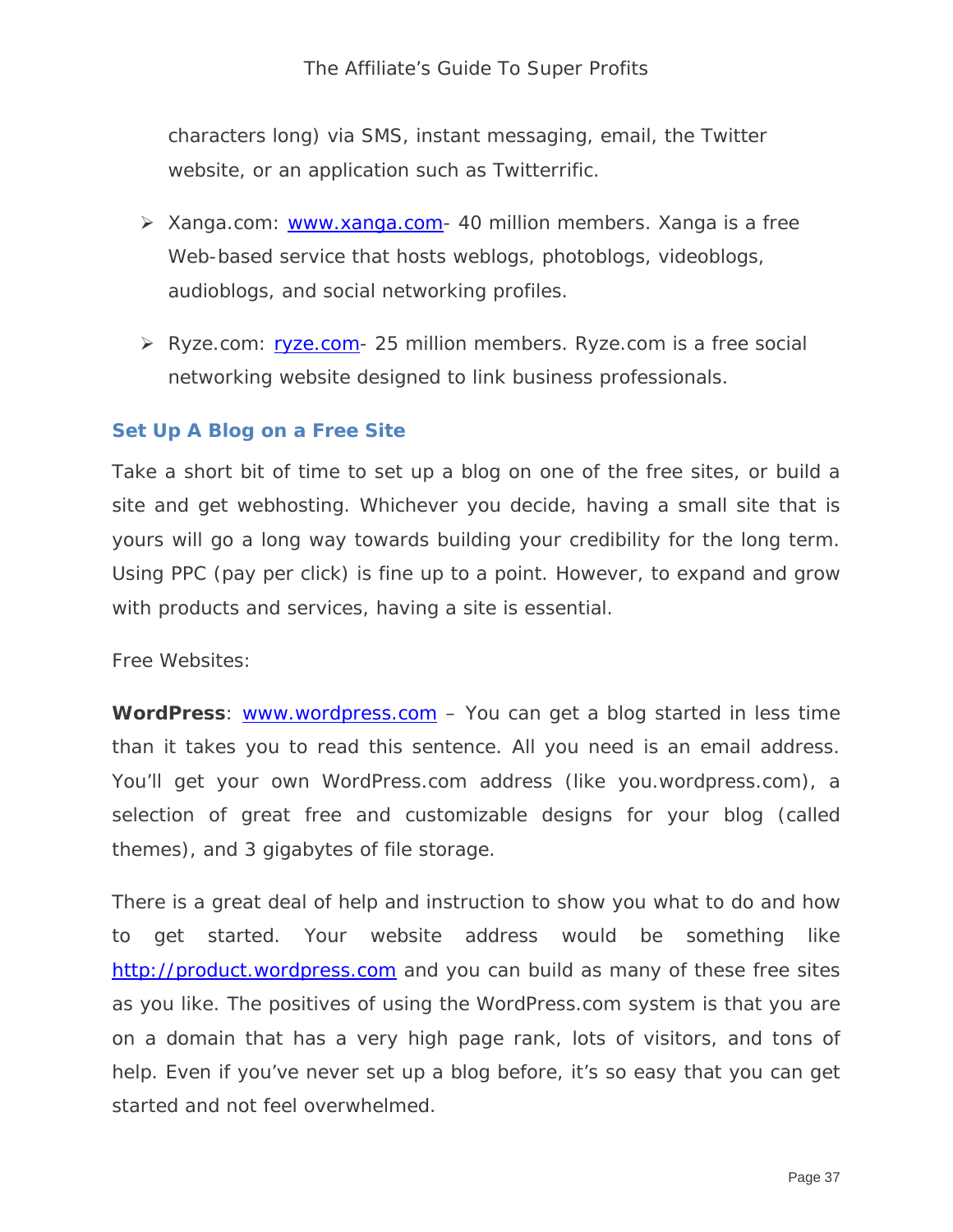#### The Affiliate's Guide To Super Profits

characters long) via SMS, instant messaging, email, the Twitter website, or an application such as Twitterrific.

- Xanga.com: [www.xanga.com-](http://www.xanga.com/) 40 million members. Xanga is a free Web-based service that hosts weblogs, photoblogs, videoblogs, audioblogs, and social networking profiles.
- ▶ Ryze.com: [ryze.com](http://ryze.com/) 25 million members. Ryze.com is a free social networking website designed to link business professionals.

#### **Set Up A Blog on a Free Site**

Take a short bit of time to set up a blog on one of the free sites, or build a site and get webhosting. Whichever you decide, having a small site that is yours will go a long way towards building your credibility for the long term. Using PPC (pay per click) is fine up to a point. However, to expand and grow with products and services, having a site is essential.

Free Websites:

**WordPress**: [www.wordpress.com](http://www.wordpress.com/) – You can get a blog started in less time than it takes you to read this sentence. All you need is an email address. You'll get your own WordPress.com address (like you.wordpress.com), a selection of great free and customizable designs for your blog (called themes), and *3 gigabytes* of file storage.

There is a great deal of help and instruction to show you what to do and how to get started. Your website address would be something like [http://product.wordpress.com](http://product.wordpress.com/) and you can build as many of these free sites as you like. The positives of using the WordPress.com system is that you are on a domain that has a very high page rank, lots of visitors, and tons of help. Even if you've never set up a blog before, it's so easy that you can get started and not feel overwhelmed.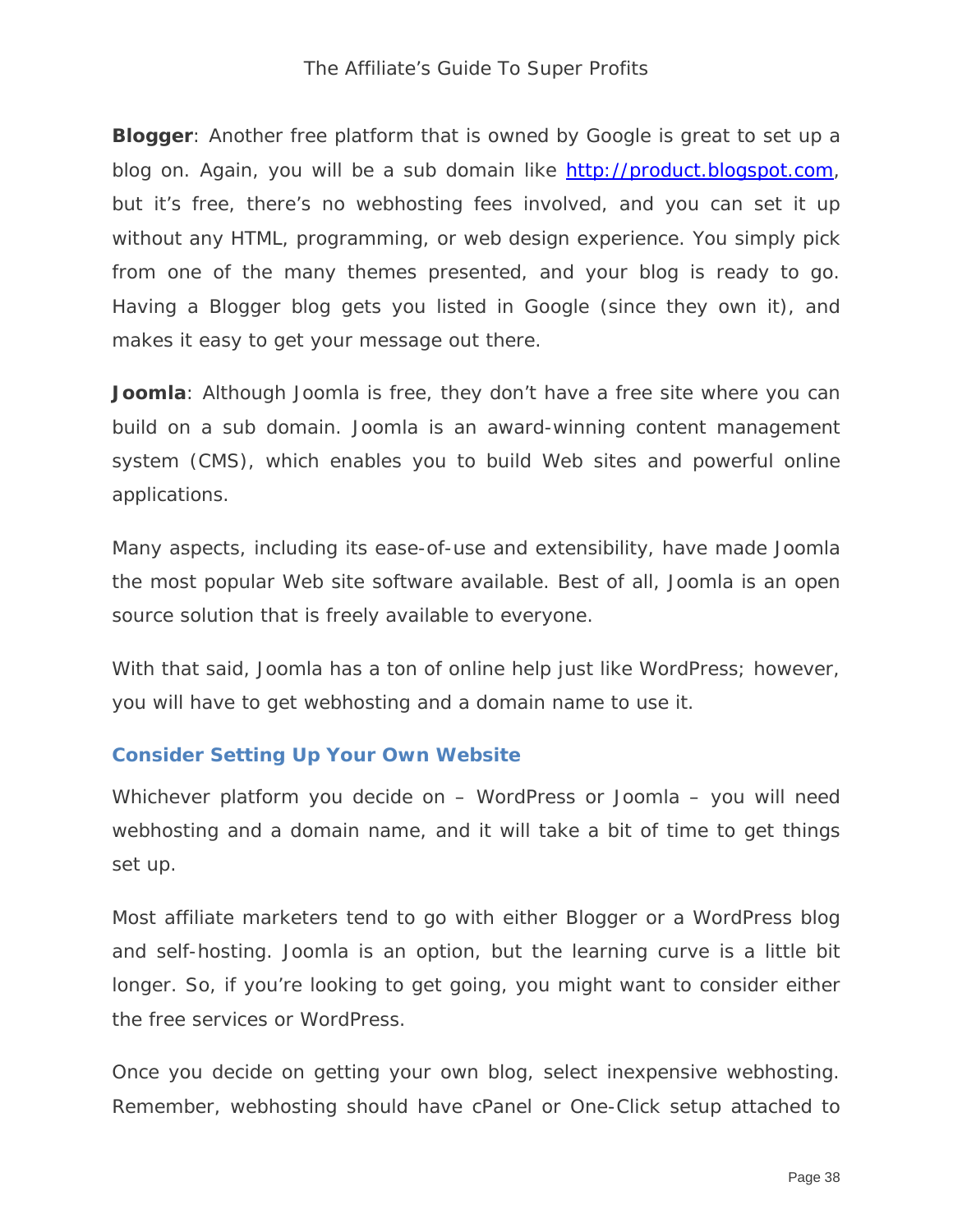**Blogger**: Another free platform that is owned by Google is great to set up a blog on. Again, you will be a sub domain like [http://product.blogspot.com,](http://product.blogspot.com/) but it's free, there's no webhosting fees involved, and you can set it up without any HTML, programming, or web design experience. You simply pick from one of the many themes presented, and your blog is ready to go. Having a Blogger blog gets you listed in Google (since they own it), and makes it easy to get your message out there.

**Joomla**: Although Joomla is free, they don't have a free site where you can build on a sub domain. Joomla is an award-winning content management system (CMS), which enables you to build Web sites and powerful online applications.

Many aspects, including its ease-of-use and extensibility, have made Joomla the most popular Web site software available. Best of all, Joomla is an open source solution that is freely available to everyone.

With that said, Joomla has a ton of online help just like WordPress; however, you will have to get webhosting and a domain name to use it.

#### **Consider Setting Up Your Own Website**

Whichever platform you decide on – WordPress or Joomla – you will need webhosting and a domain name, and it will take a bit of time to get things set up.

Most affiliate marketers tend to go with either Blogger or a WordPress blog and self-hosting. Joomla is an option, but the learning curve is a little bit longer. So, if you're looking to get going, you might want to consider either the free services or WordPress.

Once you decide on getting your own blog, select inexpensive webhosting. Remember, webhosting should have cPanel or One-Click setup attached to